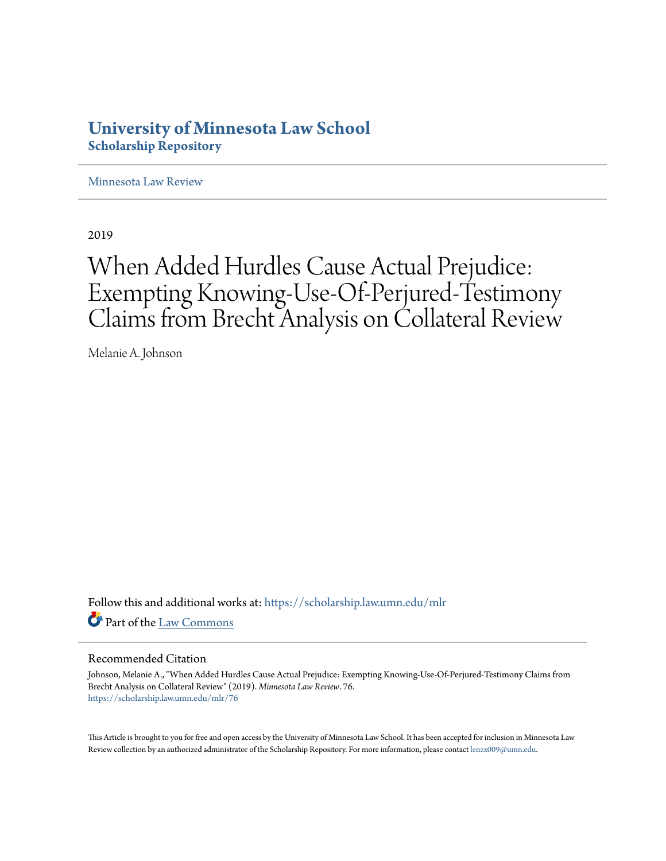# **University of Minnesota Law School [Scholarship Repository](https://scholarship.law.umn.edu?utm_source=scholarship.law.umn.edu%2Fmlr%2F76&utm_medium=PDF&utm_campaign=PDFCoverPages)**

[Minnesota Law Review](https://scholarship.law.umn.edu/mlr?utm_source=scholarship.law.umn.edu%2Fmlr%2F76&utm_medium=PDF&utm_campaign=PDFCoverPages)

2019

# When Added Hurdles Cause Actual Prejudice: Exempting Knowing-Use-Of-Perjured-Testimony Claims from Brecht Analysis on Collateral Review

Melanie A. Johnson

Follow this and additional works at: [https://scholarship.law.umn.edu/mlr](https://scholarship.law.umn.edu/mlr?utm_source=scholarship.law.umn.edu%2Fmlr%2F76&utm_medium=PDF&utm_campaign=PDFCoverPages) Part of the [Law Commons](http://network.bepress.com/hgg/discipline/578?utm_source=scholarship.law.umn.edu%2Fmlr%2F76&utm_medium=PDF&utm_campaign=PDFCoverPages)

# Recommended Citation

Johnson, Melanie A., "When Added Hurdles Cause Actual Prejudice: Exempting Knowing-Use-Of-Perjured-Testimony Claims from Brecht Analysis on Collateral Review" (2019). *Minnesota Law Review*. 76. [https://scholarship.law.umn.edu/mlr/76](https://scholarship.law.umn.edu/mlr/76?utm_source=scholarship.law.umn.edu%2Fmlr%2F76&utm_medium=PDF&utm_campaign=PDFCoverPages)

This Article is brought to you for free and open access by the University of Minnesota Law School. It has been accepted for inclusion in Minnesota Law Review collection by an authorized administrator of the Scholarship Repository. For more information, please contact [lenzx009@umn.edu.](mailto:lenzx009@umn.edu)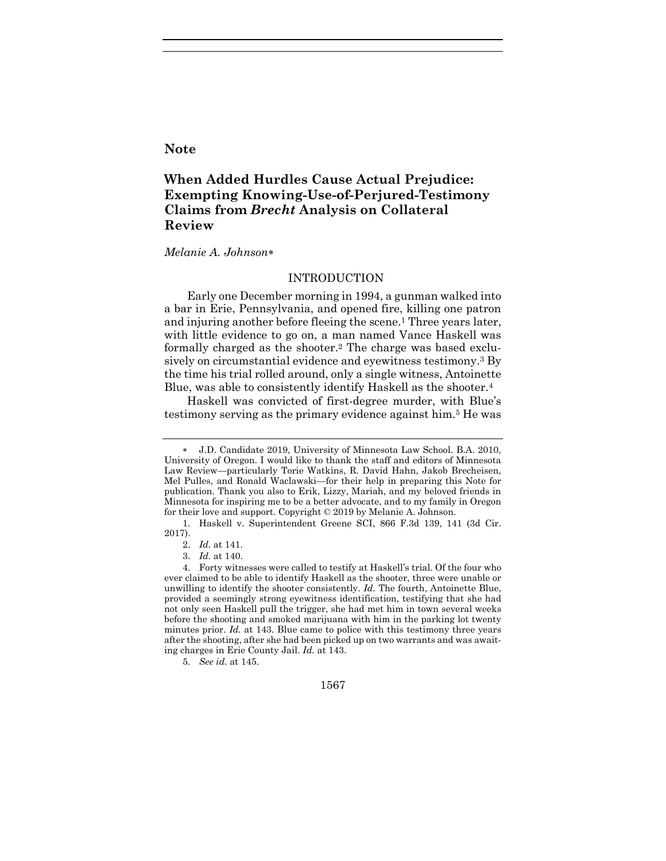# **Note**

# **When Added Hurdles Cause Actual Prejudice: Exempting Knowing-Use-of-Perjured-Testimony Claims from** *Brecht* **Analysis on Collateral Review**

#### *Melanie A. Johnson*

#### INTRODUCTION

Early one December morning in 1994, a gunman walked into a bar in Erie, Pennsylvania, and opened fire, killing one patron and injuring another before fleeing the scene.<sup>1</sup> Three years later, with little evidence to go on, a man named Vance Haskell was formally charged as the shooter.<sup>2</sup> The charge was based exclusively on circumstantial evidence and eyewitness testimony.<sup>3</sup> By the time his trial rolled around, only a single witness, Antoinette Blue, was able to consistently identify Haskell as the shooter.<sup>4</sup>

Haskell was convicted of first-degree murder, with Blue's testimony serving as the primary evidence against him.<sup>5</sup> He was



J.D. Candidate 2019, University of Minnesota Law School. B.A. 2010, University of Oregon. I would like to thank the staff and editors of Minnesota Law Review—particularly Torie Watkins, R. David Hahn, Jakob Brecheisen, Mel Pulles, and Ronald Waclawski—for their help in preparing this Note for publication. Thank you also to Erik, Lizzy, Mariah, and my beloved friends in Minnesota for inspiring me to be a better advocate, and to my family in Oregon for their love and support. Copyright © 2019 by Melanie A. Johnson.

<sup>1.</sup> Haskell v. Superintendent Greene SCI, 866 F.3d 139, 141 (3d Cir. 2017).

<sup>2.</sup> *Id.* at 141.

<sup>3.</sup> *Id.* at 140.

<sup>4.</sup> Forty witnesses were called to testify at Haskell's trial. Of the four who ever claimed to be able to identify Haskell as the shooter, three were unable or unwilling to identify the shooter consistently. *Id.* The fourth, Antoinette Blue, provided a seemingly strong eyewitness identification, testifying that she had not only seen Haskell pull the trigger, she had met him in town several weeks before the shooting and smoked marijuana with him in the parking lot twenty minutes prior. *Id.* at 143. Blue came to police with this testimony three years after the shooting, after she had been picked up on two warrants and was awaiting charges in Erie County Jail. *Id.* at 143.

<sup>5.</sup> *See id.* at 145.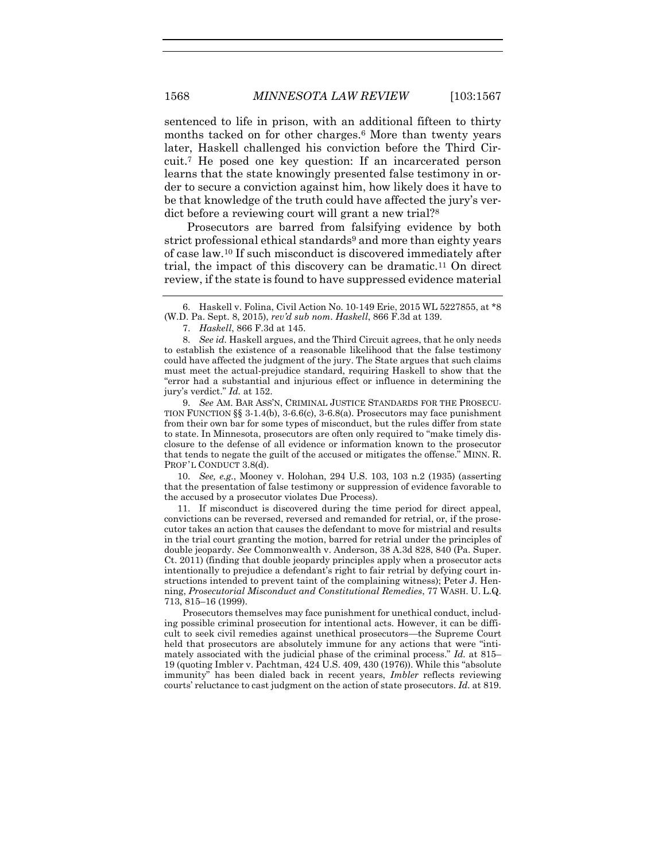sentenced to life in prison, with an additional fifteen to thirty months tacked on for other charges.<sup>6</sup> More than twenty years later, Haskell challenged his conviction before the Third Circuit.<sup>7</sup> He posed one key question: If an incarcerated person learns that the state knowingly presented false testimony in order to secure a conviction against him, how likely does it have to be that knowledge of the truth could have affected the jury's verdict before a reviewing court will grant a new trial?<sup>8</sup>

Prosecutors are barred from falsifying evidence by both strict professional ethical standards<sup>9</sup> and more than eighty years of case law.<sup>10</sup> If such misconduct is discovered immediately after trial, the impact of this discovery can be dramatic.<sup>11</sup> On direct review, if the state is found to have suppressed evidence material

7. *Haskell*, 866 F.3d at 145.

8. *See id.* Haskell argues, and the Third Circuit agrees, that he only needs to establish the existence of a reasonable likelihood that the false testimony could have affected the judgment of the jury. The State argues that such claims must meet the actual-prejudice standard, requiring Haskell to show that the "error had a substantial and injurious effect or influence in determining the jury's verdict." *Id.* at 152.

9. *See* AM. BAR ASS'N, CRIMINAL JUSTICE STANDARDS FOR THE PROSECU-TION FUNCTION  $\S$ § 3-1.4(b), 3-6.6(c), 3-6.8(a). Prosecutors may face punishment from their own bar for some types of misconduct, but the rules differ from state to state. In Minnesota, prosecutors are often only required to "make timely disclosure to the defense of all evidence or information known to the prosecutor that tends to negate the guilt of the accused or mitigates the offense." MINN. R. PROF'L CONDUCT 3.8(d).

10. *See, e.g.*, Mooney v. Holohan, 294 U.S. 103, 103 n.2 (1935) (asserting that the presentation of false testimony or suppression of evidence favorable to the accused by a prosecutor violates Due Process).

11. If misconduct is discovered during the time period for direct appeal, convictions can be reversed, reversed and remanded for retrial, or, if the prosecutor takes an action that causes the defendant to move for mistrial and results in the trial court granting the motion, barred for retrial under the principles of double jeopardy. *See* Commonwealth v. Anderson, 38 A.3d 828, 840 (Pa. Super. Ct. 2011) (finding that double jeopardy principles apply when a prosecutor acts intentionally to prejudice a defendant's right to fair retrial by defying court instructions intended to prevent taint of the complaining witness); Peter J. Henning, *Prosecutorial Misconduct and Constitutional Remedies*, 77 WASH. U. L.Q. 713, 815–16 (1999).

Prosecutors themselves may face punishment for unethical conduct, including possible criminal prosecution for intentional acts. However, it can be difficult to seek civil remedies against unethical prosecutors—the Supreme Court held that prosecutors are absolutely immune for any actions that were "intimately associated with the judicial phase of the criminal process." *Id.* at 815– 19 (quoting Imbler v. Pachtman, 424 U.S. 409, 430 (1976)). While this "absolute immunity" has been dialed back in recent years, *Imbler* reflects reviewing courts' reluctance to cast judgment on the action of state prosecutors. *Id.* at 819.

<sup>6.</sup> Haskell v. Folina, Civil Action No. 10-149 Erie, 2015 WL 5227855, at \*8 (W.D. Pa. Sept. 8, 2015), *rev'd sub nom*. *Haskell*, 866 F.3d at 139.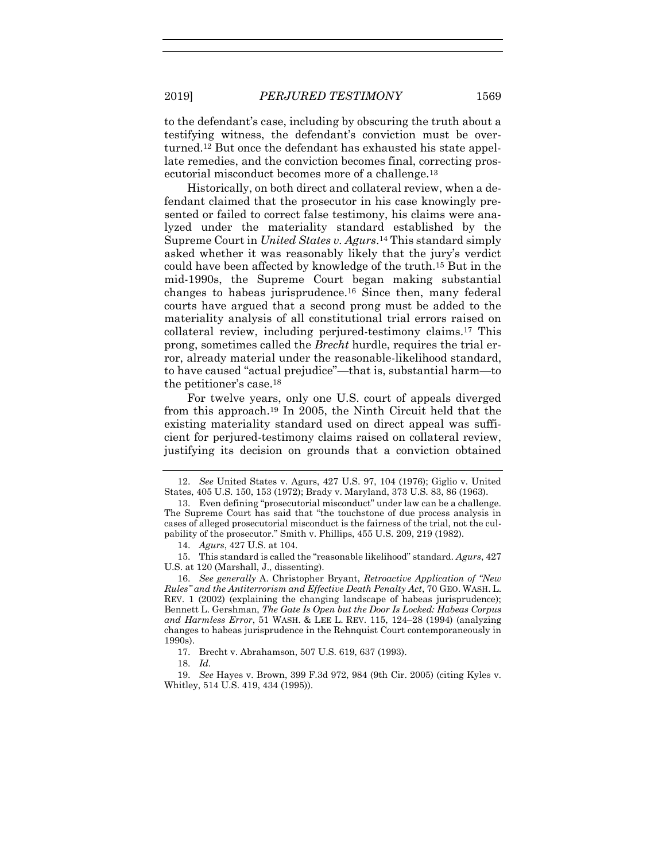to the defendant's case, including by obscuring the truth about a testifying witness, the defendant's conviction must be overturned.<sup>12</sup> But once the defendant has exhausted his state appellate remedies, and the conviction becomes final, correcting prosecutorial misconduct becomes more of a challenge.<sup>13</sup>

<span id="page-3-0"></span>Historically, on both direct and collateral review, when a defendant claimed that the prosecutor in his case knowingly presented or failed to correct false testimony, his claims were analyzed under the materiality standard established by the Supreme Court in *United States v. Agurs*. <sup>14</sup> This standard simply asked whether it was reasonably likely that the jury's verdict could have been affected by knowledge of the truth.<sup>15</sup> But in the mid-1990s, the Supreme Court began making substantial changes to habeas jurisprudence.<sup>16</sup> Since then, many federal courts have argued that a second prong must be added to the materiality analysis of all constitutional trial errors raised on collateral review, including perjured-testimony claims.<sup>17</sup> This prong, sometimes called the *Brecht* hurdle, requires the trial error, already material under the reasonable-likelihood standard, to have caused "actual prejudice"—that is, substantial harm—to the petitioner's case.<sup>18</sup>

For twelve years, only one U.S. court of appeals diverged from this approach.<sup>19</sup> In 2005, the Ninth Circuit held that the existing materiality standard used on direct appeal was sufficient for perjured-testimony claims raised on collateral review, justifying its decision on grounds that a conviction obtained

15. This standard is called the "reasonable likelihood" standard. *Agurs*, 427 U.S. at 120 (Marshall, J., dissenting).

17. Brecht v. Abrahamson, 507 U.S. 619, 637 (1993).

<sup>12.</sup> *See* United States v. Agurs, 427 U.S. 97, 104 (1976); Giglio v. United States, 405 U.S. 150, 153 (1972); Brady v. Maryland, 373 U.S. 83, 86 (1963).

<sup>13.</sup> Even defining "prosecutorial misconduct" under law can be a challenge. The Supreme Court has said that "the touchstone of due process analysis in cases of alleged prosecutorial misconduct is the fairness of the trial, not the culpability of the prosecutor." Smith v. Phillips, 455 U.S. 209, 219 (1982).

<sup>14.</sup> *Agurs*, 427 U.S. at 104.

<sup>16.</sup> *See generally* A. Christopher Bryant, *Retroactive Application of "New Rules" and the Antiterrorism and Effective Death Penalty Act*, 70 GEO. WASH. L. REV. 1 (2002) (explaining the changing landscape of habeas jurisprudence); Bennett L. Gershman, *The Gate Is Open but the Door Is Locked: Habeas Corpus and Harmless Error*, 51 WASH. & LEE L. REV. 115, 124–28 (1994) (analyzing changes to habeas jurisprudence in the Rehnquist Court contemporaneously in 1990s).

<sup>18.</sup> *Id.*

<sup>19.</sup> *See* Hayes v. Brown, 399 F.3d 972, 984 (9th Cir. 2005) (citing Kyles v. Whitley, 514 U.S. 419, 434 (1995)).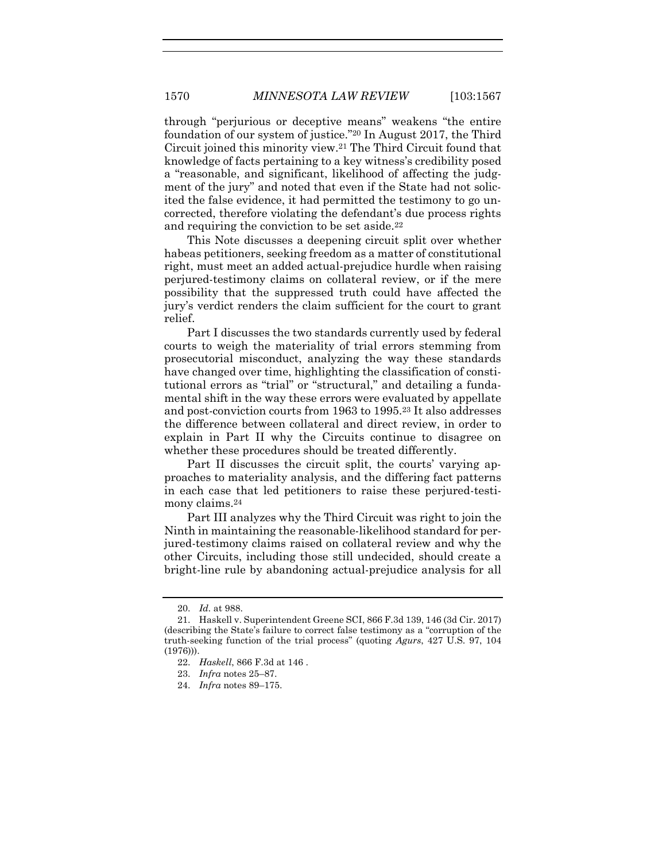through "perjurious or deceptive means" weakens "the entire foundation of our system of justice."<sup>20</sup> In August 2017, the Third Circuit joined this minority view.<sup>21</sup> The Third Circuit found that knowledge of facts pertaining to a key witness's credibility posed a "reasonable, and significant, likelihood of affecting the judgment of the jury" and noted that even if the State had not solicited the false evidence, it had permitted the testimony to go uncorrected, therefore violating the defendant's due process rights and requiring the conviction to be set aside.<sup>22</sup>

This Note discusses a deepening circuit split over whether habeas petitioners, seeking freedom as a matter of constitutional right, must meet an added actual-prejudice hurdle when raising perjured-testimony claims on collateral review, or if the mere possibility that the suppressed truth could have affected the jury's verdict renders the claim sufficient for the court to grant relief.

Part I discusses the two standards currently used by federal courts to weigh the materiality of trial errors stemming from prosecutorial misconduct, analyzing the way these standards have changed over time, highlighting the classification of constitutional errors as "trial" or "structural," and detailing a fundamental shift in the way these errors were evaluated by appellate and post-conviction courts from 1963 to 1995.<sup>23</sup> It also addresses the difference between collateral and direct review, in order to explain in Part II why the Circuits continue to disagree on whether these procedures should be treated differently.

Part II discusses the circuit split, the courts' varying approaches to materiality analysis, and the differing fact patterns in each case that led petitioners to raise these perjured-testimony claims.<sup>24</sup>

Part III analyzes why the Third Circuit was right to join the Ninth in maintaining the reasonable-likelihood standard for perjured-testimony claims raised on collateral review and why the other Circuits, including those still undecided, should create a bright-line rule by abandoning actual-prejudice analysis for all

<sup>20.</sup> *Id.* at 988.

<sup>21.</sup> Haskell v. Superintendent Greene SCI, 866 F.3d 139, 146 (3d Cir. 2017) (describing the State's failure to correct false testimony as a "corruption of the truth-seeking function of the trial process" (quoting *Agurs*, 427 U.S. 97, 104 (1976))).

<sup>22.</sup> *Haskell*, 866 F.3d at 146 .

<sup>23.</sup> *Infra* notes [25](#page-5-0)–[87.](#page-15-0)

<sup>24.</sup> *Infra* notes [89](#page-16-0)–[175.](#page-28-0)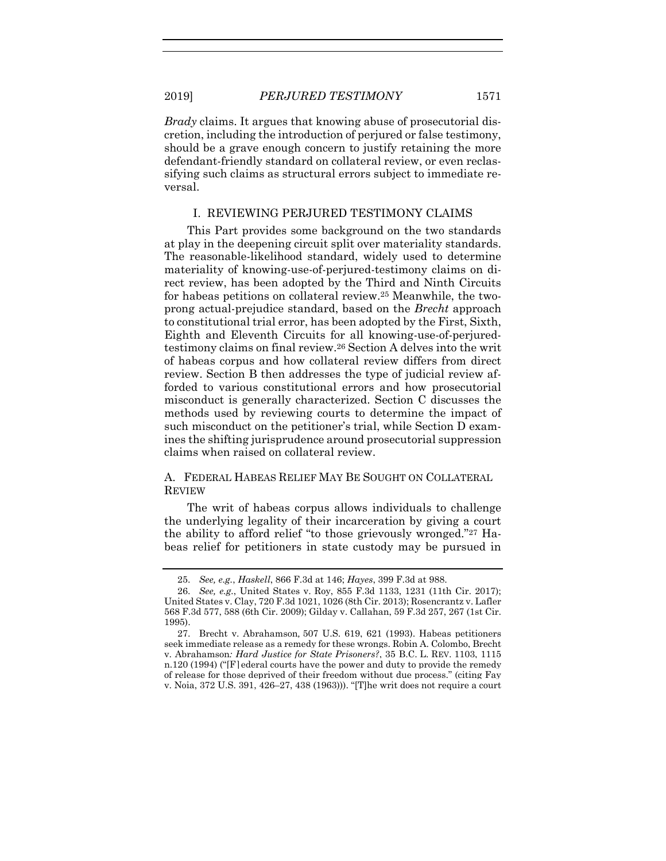*Brady* claims. It argues that knowing abuse of prosecutorial discretion, including the introduction of perjured or false testimony, should be a grave enough concern to justify retaining the more defendant-friendly standard on collateral review, or even reclassifying such claims as structural errors subject to immediate reversal.

#### <span id="page-5-0"></span>I. REVIEWING PERJURED TESTIMONY CLAIMS

This Part provides some background on the two standards at play in the deepening circuit split over materiality standards. The reasonable-likelihood standard, widely used to determine materiality of knowing-use-of-perjured-testimony claims on direct review, has been adopted by the Third and Ninth Circuits for habeas petitions on collateral review.<sup>25</sup> Meanwhile, the twoprong actual-prejudice standard, based on the *Brecht* approach to constitutional trial error, has been adopted by the First, Sixth, Eighth and Eleventh Circuits for all knowing-use-of-perjuredtestimony claims on final review.<sup>26</sup> Section A delves into the writ of habeas corpus and how collateral review differs from direct review. Section B then addresses the type of judicial review afforded to various constitutional errors and how prosecutorial misconduct is generally characterized. Section C discusses the methods used by reviewing courts to determine the impact of such misconduct on the petitioner's trial, while Section D examines the shifting jurisprudence around prosecutorial suppression claims when raised on collateral review.

#### A. FEDERAL HABEAS RELIEF MAY BE SOUGHT ON COLLATERAL REVIEW

The writ of habeas corpus allows individuals to challenge the underlying legality of their incarceration by giving a court the ability to afford relief "to those grievously wronged."<sup>27</sup> Habeas relief for petitioners in state custody may be pursued in

<sup>25.</sup> *See, e.g.*, *Haskell*, 866 F.3d at 146; *Hayes*, 399 F.3d at 988.

<sup>26.</sup> *See, e.g.*, United States v. Roy, 855 F.3d 1133, 1231 (11th Cir. 2017); United States v. Clay, 720 F.3d 1021, 1026 (8th Cir. 2013); Rosencrantz v. Lafler 568 F.3d 577, 588 (6th Cir. 2009); Gilday v. Callahan, 59 F.3d 257, 267 (1st Cir. 1995).

<sup>27.</sup> Brecht v. Abrahamson*,* 507 U.S. 619, 621 (1993). Habeas petitioners seek immediate release as a remedy for these wrongs. Robin A. Colombo, Brecht v. Abrahamson*: Hard Justice for State Prisoners?*, 35 B.C. L. REV. 1103, 1115 n.120 (1994) ("[F]ederal courts have the power and duty to provide the remedy of release for those deprived of their freedom without due process." (citing Fay v. Noia, 372 U.S. 391, 426–27, 438 (1963))). "[T]he writ does not require a court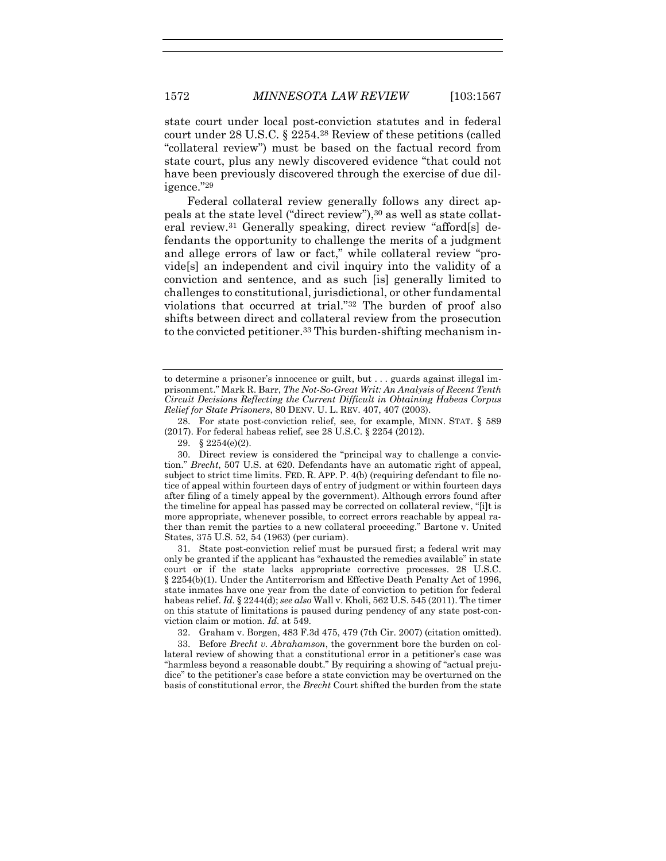state court under local post-conviction statutes and in federal court under 28 U.S.C. § 2254.<sup>28</sup> Review of these petitions (called "collateral review") must be based on the factual record from state court, plus any newly discovered evidence "that could not have been previously discovered through the exercise of due diligence."<sup>29</sup>

<span id="page-6-1"></span><span id="page-6-0"></span>Federal collateral review generally follows any direct appeals at the state level ("direct review"),<sup>30</sup> as well as state collateral review.<sup>31</sup> Generally speaking, direct review "afford[s] defendants the opportunity to challenge the merits of a judgment and allege errors of law or fact," while collateral review "provide[s] an independent and civil inquiry into the validity of a conviction and sentence, and as such [is] generally limited to challenges to constitutional, jurisdictional, or other fundamental violations that occurred at trial."<sup>32</sup> The burden of proof also shifts between direct and collateral review from the prosecution to the convicted petitioner.<sup>33</sup> This burden-shifting mechanism in-

28. For state post-conviction relief, see, for example, MINN. STAT. § 589 (2017). For federal habeas relief, see 28 U.S.C. § 2254 (2012).

29. § 2254(e)(2).

30. Direct review is considered the "principal way to challenge a conviction." *Brecht*, 507 U.S. at 620. Defendants have an automatic right of appeal, subject to strict time limits. FED. R. APP. P. 4(b) (requiring defendant to file notice of appeal within fourteen days of entry of judgment or within fourteen days after filing of a timely appeal by the government). Although errors found after the timeline for appeal has passed may be corrected on collateral review, "[i]t is more appropriate, whenever possible, to correct errors reachable by appeal rather than remit the parties to a new collateral proceeding." Bartone v. United States, 375 U.S. 52, 54 (1963) (per curiam).

31. State post-conviction relief must be pursued first; a federal writ may only be granted if the applicant has "exhausted the remedies available" in state court or if the state lacks appropriate corrective processes. 28 U.S.C. § 2254(b)(1). Under the Antiterrorism and Effective Death Penalty Act of 1996, state inmates have one year from the date of conviction to petition for federal habeas relief. *Id.* § 2244(d); *see also* Wall v. Kholi, 562 U.S. 545 (2011). The timer on this statute of limitations is paused during pendency of any state post-conviction claim or motion. *Id.* at 549.

32. Graham v. Borgen, 483 F.3d 475, 479 (7th Cir. 2007) (citation omitted).

33. Before *Brecht v. Abrahamson*, the government bore the burden on collateral review of showing that a constitutional error in a petitioner's case was "harmless beyond a reasonable doubt." By requiring a showing of "actual prejudice" to the petitioner's case before a state conviction may be overturned on the basis of constitutional error, the *Brecht* Court shifted the burden from the state

to determine a prisoner's innocence or guilt, but . . . guards against illegal imprisonment." Mark R. Barr, *The Not-So-Great Writ: An Analysis of Recent Tenth Circuit Decisions Reflecting the Current Difficult in Obtaining Habeas Corpus Relief for State Prisoners*, 80 DENV. U. L. REV. 407, 407 (2003).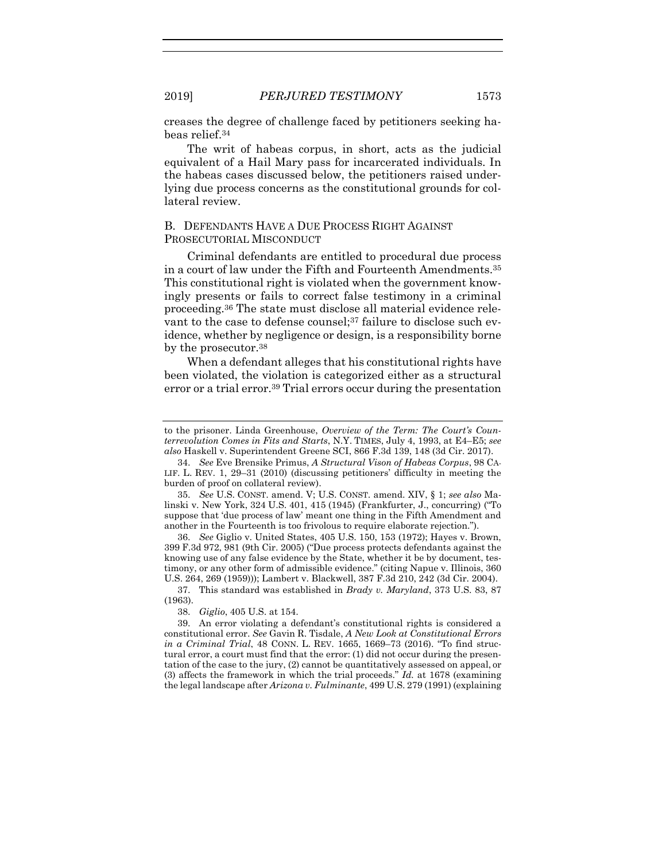creases the degree of challenge faced by petitioners seeking habeas relief.<sup>34</sup>

The writ of habeas corpus, in short, acts as the judicial equivalent of a Hail Mary pass for incarcerated individuals. In the habeas cases discussed below, the petitioners raised underlying due process concerns as the constitutional grounds for collateral review.

#### B. DEFENDANTS HAVE A DUE PROCESS RIGHT AGAINST PROSECUTORIAL MISCONDUCT

Criminal defendants are entitled to procedural due process in a court of law under the Fifth and Fourteenth Amendments.<sup>35</sup> This constitutional right is violated when the government knowingly presents or fails to correct false testimony in a criminal proceeding.<sup>36</sup> The state must disclose all material evidence relevant to the case to defense counsel;<sup>37</sup> failure to disclose such evidence, whether by negligence or design, is a responsibility borne by the prosecutor.<sup>38</sup>

<span id="page-7-0"></span>When a defendant alleges that his constitutional rights have been violated, the violation is categorized either as a structural error or a trial error.<sup>39</sup> Trial errors occur during the presentation

35. *See* U.S. CONST. amend. V; U.S. CONST. amend. XIV, § 1; *see also* Malinski v. New York, 324 U.S. 401, 415 (1945) (Frankfurter, J., concurring) ("To suppose that 'due process of law' meant one thing in the Fifth Amendment and another in the Fourteenth is too frivolous to require elaborate rejection.").

36. *See* Giglio v. United States, 405 U.S. 150, 153 (1972); Hayes v. Brown, 399 F.3d 972, 981 (9th Cir. 2005) ("Due process protects defendants against the knowing use of any false evidence by the State, whether it be by document, testimony, or any other form of admissible evidence." (citing Napue v. Illinois, 360 U.S. 264, 269 (1959))); Lambert v. Blackwell, 387 F.3d 210, 242 (3d Cir. 2004).

37. This standard was established in *Brady v. Maryland*, 373 U.S. 83, 87 (1963).

to the prisoner. Linda Greenhouse, *Overview of the Term: The Court's Counterrevolution Comes in Fits and Starts*, N.Y. TIMES, July 4, 1993, at E4–E5; *see also* Haskell v. Superintendent Greene SCI, 866 F.3d 139, 148 (3d Cir. 2017).

<sup>34.</sup> *See* Eve Brensike Primus, *A Structural Vison of Habeas Corpus*, 98 CA-LIF. L. REV. 1, 29–31 (2010) (discussing petitioners' difficulty in meeting the burden of proof on collateral review).

<sup>38.</sup> *Giglio*, 405 U.S. at 154.

<sup>39.</sup> An error violating a defendant's constitutional rights is considered a constitutional error. *See* Gavin R. Tisdale, *A New Look at Constitutional Errors in a Criminal Trial*, 48 CONN. L. REV. 1665, 1669–73 (2016). "To find structural error, a court must find that the error: (1) did not occur during the presentation of the case to the jury, (2) cannot be quantitatively assessed on appeal, or (3) affects the framework in which the trial proceeds." *Id.* at 1678 (examining the legal landscape after *Arizona v. Fulminante*, 499 U.S. 279 (1991) (explaining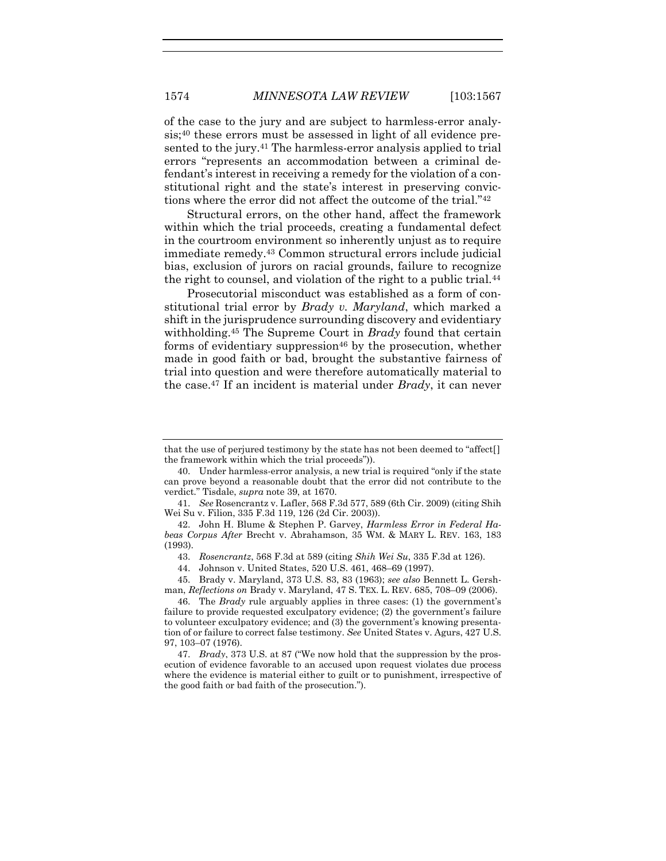of the case to the jury and are subject to harmless-error analysis;<sup>40</sup> these errors must be assessed in light of all evidence presented to the jury.<sup>41</sup> The harmless-error analysis applied to trial errors "represents an accommodation between a criminal defendant's interest in receiving a remedy for the violation of a constitutional right and the state's interest in preserving convictions where the error did not affect the outcome of the trial."<sup>42</sup>

<span id="page-8-0"></span>Structural errors, on the other hand, affect the framework within which the trial proceeds, creating a fundamental defect in the courtroom environment so inherently unjust as to require immediate remedy.<sup>43</sup> Common structural errors include judicial bias, exclusion of jurors on racial grounds, failure to recognize the right to counsel, and violation of the right to a public trial.<sup>44</sup>

Prosecutorial misconduct was established as a form of constitutional trial error by *Brady v. Maryland*, which marked a shift in the jurisprudence surrounding discovery and evidentiary withholding.<sup>45</sup> The Supreme Court in *Brady* found that certain forms of evidentiary suppression<sup>46</sup> by the prosecution, whether made in good faith or bad, brought the substantive fairness of trial into question and were therefore automatically material to the case.<sup>47</sup> If an incident is material under *Brady*, it can never

that the use of perjured testimony by the state has not been deemed to "affect[] the framework within which the trial proceeds")).

<sup>40.</sup> Under harmless-error analysis, a new trial is required "only if the state can prove beyond a reasonable doubt that the error did not contribute to the verdict*.*" Tisdale, *supra* note [39,](#page-7-0) at 1670.

<sup>41.</sup> *See* Rosencrantz v. Lafler, 568 F.3d 577, 589 (6th Cir. 2009) (citing Shih Wei Su v. Filion, 335 F.3d 119, 126 (2d Cir. 2003)).

<sup>42.</sup> John H. Blume & Stephen P. Garvey, *Harmless Error in Federal Habeas Corpus After* Brecht v. Abrahamson, 35 WM. & MARY L. REV. 163, 183 (1993).

<sup>43.</sup> *Rosencrantz*, 568 F.3d at 589 (citing *Shih Wei Su*, 335 F.3d at 126).

<sup>44.</sup> Johnson v. United States, 520 U.S. 461, 468–69 (1997).

<sup>45.</sup> Brady v. Maryland, 373 U.S. 83, 83 (1963); *see also* Bennett L. Gershman, *Reflections on* Brady v. Maryland, 47 S. TEX. L. REV. 685, 708–09 (2006).

<sup>46.</sup> The *Brady* rule arguably applies in three cases: (1) the government's failure to provide requested exculpatory evidence; (2) the government's failure to volunteer exculpatory evidence; and (3) the government's knowing presentation of or failure to correct false testimony. *See* United States v. Agurs, 427 U.S. 97, 103–07 (1976).

<sup>47.</sup> *Brady*, 373 U.S. at 87 ("We now hold that the suppression by the prosecution of evidence favorable to an accused upon request violates due process where the evidence is material either to guilt or to punishment, irrespective of the good faith or bad faith of the prosecution.").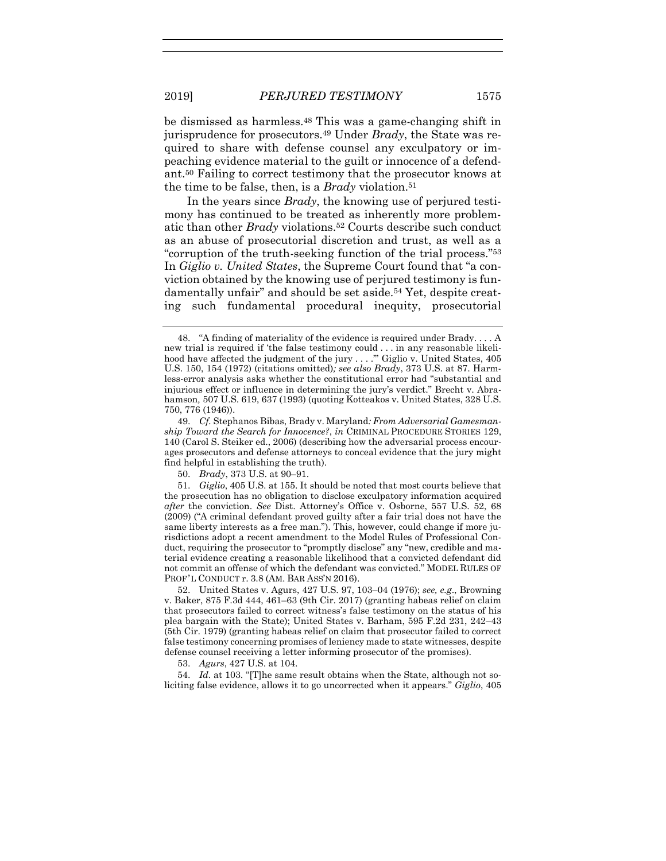<span id="page-9-0"></span>be dismissed as harmless.<sup>48</sup> This was a game-changing shift in jurisprudence for prosecutors.<sup>49</sup> Under *Brady*, the State was required to share with defense counsel any exculpatory or impeaching evidence material to the guilt or innocence of a defendant.<sup>50</sup> Failing to correct testimony that the prosecutor knows at the time to be false, then, is a *Brady* violation.<sup>51</sup>

In the years since *Brady*, the knowing use of perjured testimony has continued to be treated as inherently more problematic than other *Brady* violations.<sup>52</sup> Courts describe such conduct as an abuse of prosecutorial discretion and trust, as well as a "corruption of the truth-seeking function of the trial process."<sup>53</sup> In *Giglio v. United States*, the Supreme Court found that "a conviction obtained by the knowing use of perjured testimony is fundamentally unfair" and should be set aside.<sup>54</sup> Yet, despite creating such fundamental procedural inequity, prosecutorial

53. *Agurs*, 427 U.S. at 104.

54. *Id.* at 103. "[T]he same result obtains when the State, although not soliciting false evidence, allows it to go uncorrected when it appears." *Giglio*, 405

<sup>48.</sup> "A finding of materiality of the evidence is required under Brady. . . . A new trial is required if 'the false testimony could . . . in any reasonable likelihood have affected the judgment of the jury . . . ." Giglio v. United States, 405 U.S. 150, 154 (1972) (citations omitted)*; see also Brady*, 373 U.S. at 87. Harmless-error analysis asks whether the constitutional error had "substantial and injurious effect or influence in determining the jury's verdict." Brecht v. Abrahamson*,* 507 U.S. 619, 637 (1993) (quoting Kotteakos v. United States, 328 U.S. 750, 776 (1946)).

<sup>49.</sup> *Cf.* Stephanos Bibas, Brady v. Maryland*: From Adversarial Gamesmanship Toward the Search for Innocence?*, *in* CRIMINAL PROCEDURE STORIES 129, 140 (Carol S. Steiker ed., 2006) (describing how the adversarial process encourages prosecutors and defense attorneys to conceal evidence that the jury might find helpful in establishing the truth).

<sup>50.</sup> *Brady*, 373 U.S. at 90–91.

<sup>51.</sup> *Giglio*, 405 U.S. at 155. It should be noted that most courts believe that the prosecution has no obligation to disclose exculpatory information acquired *after* the conviction. *See* Dist. Attorney's Office v. Osborne, 557 U.S. 52, 68 (2009) ("A criminal defendant proved guilty after a fair trial does not have the same liberty interests as a free man."). This, however, could change if more jurisdictions adopt a recent amendment to the Model Rules of Professional Conduct, requiring the prosecutor to "promptly disclose" any "new, credible and material evidence creating a reasonable likelihood that a convicted defendant did not commit an offense of which the defendant was convicted." MODEL RULES OF PROF'L CONDUCT r. 3.8 (AM. BAR ASS'N 2016).

<sup>52.</sup> United States v. Agurs, 427 U.S. 97, 103–04 (1976); *see, e.g*., Browning v. Baker, 875 F.3d 444, 461–63 (9th Cir. 2017) (granting habeas relief on claim that prosecutors failed to correct witness's false testimony on the status of his plea bargain with the State); United States v. Barham, 595 F.2d 231, 242–43 (5th Cir. 1979) (granting habeas relief on claim that prosecutor failed to correct false testimony concerning promises of leniency made to state witnesses, despite defense counsel receiving a letter informing prosecutor of the promises).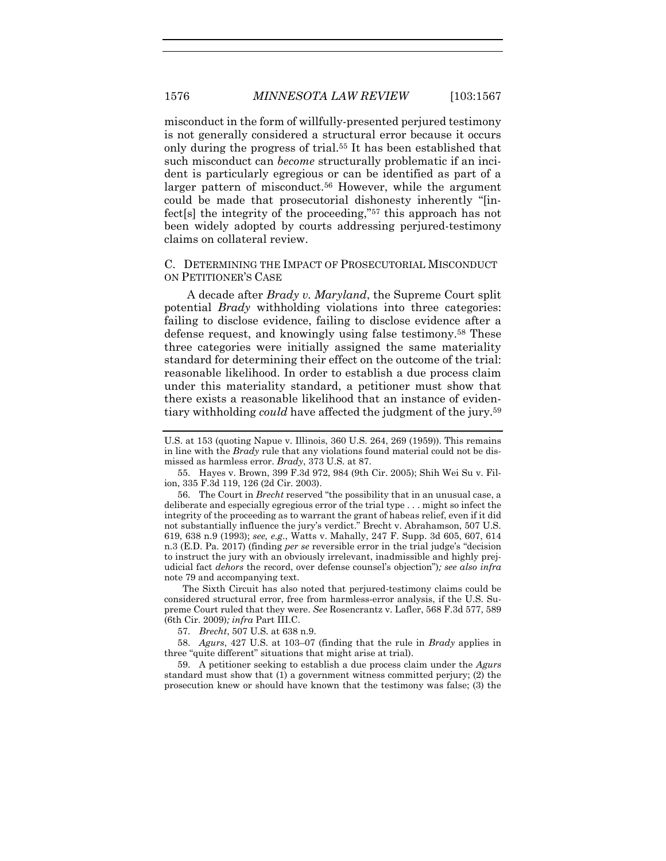misconduct in the form of willfully-presented perjured testimony is not generally considered a structural error because it occurs only during the progress of trial.<sup>55</sup> It has been established that such misconduct can *become* structurally problematic if an incident is particularly egregious or can be identified as part of a larger pattern of misconduct.<sup>56</sup> However, while the argument could be made that prosecutorial dishonesty inherently "[infect[s] the integrity of the proceeding,"<sup>57</sup> this approach has not been widely adopted by courts addressing perjured-testimony claims on collateral review.

#### C. DETERMINING THE IMPACT OF PROSECUTORIAL MISCONDUCT ON PETITIONER'S CASE

A decade after *Brady v. Maryland*, the Supreme Court split potential *Brady* withholding violations into three categories: failing to disclose evidence, failing to disclose evidence after a defense request, and knowingly using false testimony.<sup>58</sup> These three categories were initially assigned the same materiality standard for determining their effect on the outcome of the trial: reasonable likelihood. In order to establish a due process claim under this materiality standard, a petitioner must show that there exists a reasonable likelihood that an instance of evidentiary withholding *could* have affected the judgment of the jury.<sup>59</sup>

56. The Court in *Brecht* reserved "the possibility that in an unusual case, a deliberate and especially egregious error of the trial type . . . might so infect the integrity of the proceeding as to warrant the grant of habeas relief, even if it did not substantially influence the jury's verdict." Brecht v. Abrahamson, 507 U.S. 619, 638 n.9 (1993); *see, e.g*., Watts v. Mahally, 247 F. Supp. 3d 605, 607, 614 n.3 (E.D. Pa. 2017) (finding *per se* reversible error in the trial judge's "decision to instruct the jury with an obviously irrelevant, inadmissible and highly prejudicial fact *dehors* the record, over defense counsel's objection")*; see also infra*  not[e 79](#page-14-0) and accompanying text.

The Sixth Circuit has also noted that perjured-testimony claims could be considered structural error, free from harmless-error analysis, if the U.S. Supreme Court ruled that they were. *See* Rosencrantz v. Lafler, 568 F.3d 577, 589 (6th Cir. 2009)*; infra* Part III.C.

57. *Brecht*, 507 U.S. at 638 n.9.

58. *Agurs*, 427 U.S. at 103–07 (finding that the rule in *Brady* applies in three "quite different" situations that might arise at trial).

59. A petitioner seeking to establish a due process claim under the *Agurs* standard must show that (1) a government witness committed perjury; (2) the prosecution knew or should have known that the testimony was false; (3) the

U.S. at 153 (quoting Napue v. Illinois, 360 U.S. 264, 269 (1959)). This remains in line with the *Brady* rule that any violations found material could not be dismissed as harmless error. *Brady*, 373 U.S. at 87.

<sup>55.</sup> Hayes v. Brown, 399 F.3d 972, 984 (9th Cir. 2005); Shih Wei Su v. Filion, 335 F.3d 119, 126 (2d Cir. 2003).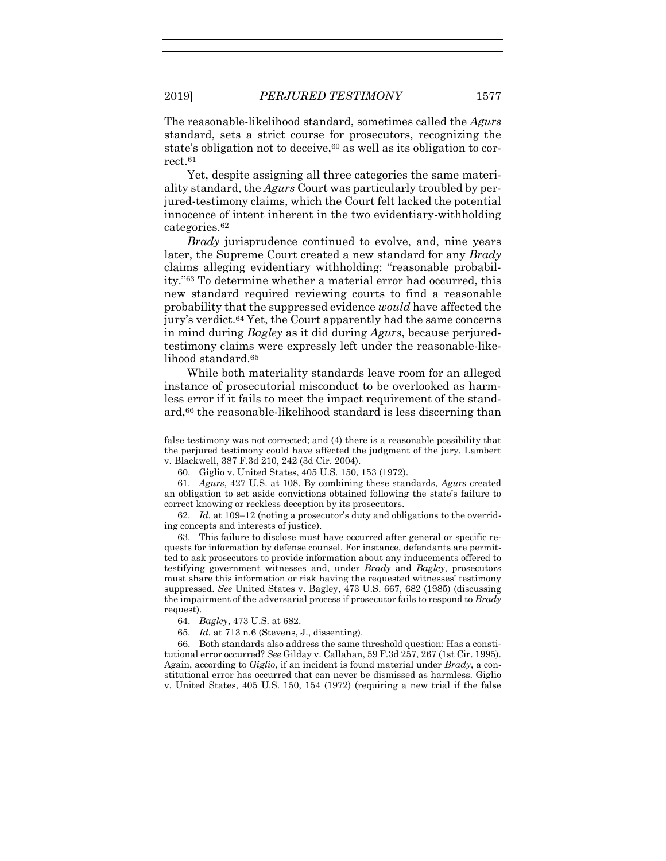The reasonable-likelihood standard, sometimes called the *Agurs* standard, sets a strict course for prosecutors, recognizing the state's obligation not to deceive,<sup>60</sup> as well as its obligation to correct.<sup>61</sup>

Yet, despite assigning all three categories the same materiality standard, the *Agurs* Court was particularly troubled by perjured-testimony claims, which the Court felt lacked the potential innocence of intent inherent in the two evidentiary-withholding categories.<sup>62</sup>

*Brady* jurisprudence continued to evolve, and, nine years later, the Supreme Court created a new standard for any *Brady* claims alleging evidentiary withholding: "reasonable probability."<sup>63</sup> To determine whether a material error had occurred, this new standard required reviewing courts to find a reasonable probability that the suppressed evidence *would* have affected the jury's verdict.<sup>64</sup> Yet, the Court apparently had the same concerns in mind during *Bagley* as it did during *Agurs*, because perjuredtestimony claims were expressly left under the reasonable-likelihood standard.<sup>65</sup>

While both materiality standards leave room for an alleged instance of prosecutorial misconduct to be overlooked as harmless error if it fails to meet the impact requirement of the standard,<sup>66</sup> the reasonable-likelihood standard is less discerning than

61. *Agurs*, 427 U.S. at 108. By combining these standards, *Agurs* created an obligation to set aside convictions obtained following the state's failure to correct knowing or reckless deception by its prosecutors.

62. *Id.* at 109–12 (noting a prosecutor's duty and obligations to the overriding concepts and interests of justice).

63. This failure to disclose must have occurred after general or specific requests for information by defense counsel. For instance, defendants are permitted to ask prosecutors to provide information about any inducements offered to testifying government witnesses and, under *Brady* and *Bagley*, prosecutors must share this information or risk having the requested witnesses' testimony suppressed. *See* United States v. Bagley, 473 U.S. 667, 682 (1985) (discussing the impairment of the adversarial process if prosecutor fails to respond to *Brady* request).

65. *Id.* at 713 n.6 (Stevens, J., dissenting).

66. Both standards also address the same threshold question: Has a constitutional error occurred? *See* Gilday v. Callahan, 59 F.3d 257, 267 (1st Cir. 1995). Again, according to *Giglio*, if an incident is found material under *Brady*, a constitutional error has occurred that can never be dismissed as harmless. Giglio v. United States, 405 U.S. 150, 154 (1972) (requiring a new trial if the false

false testimony was not corrected; and (4) there is a reasonable possibility that the perjured testimony could have affected the judgment of the jury. Lambert v. Blackwell, 387 F.3d 210, 242 (3d Cir. 2004).

<sup>60.</sup> Giglio v. United States, 405 U.S. 150, 153 (1972).

<sup>64.</sup> *Bagley*, 473 U.S. at 682.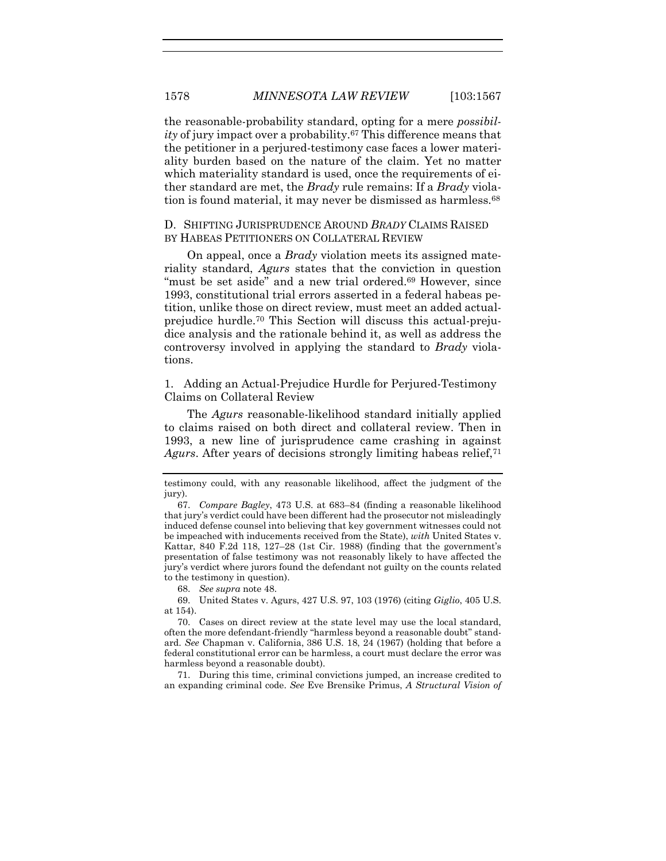the reasonable-probability standard, opting for a mere *possibility* of jury impact over a probability.<sup>67</sup> This difference means that the petitioner in a perjured-testimony case faces a lower materiality burden based on the nature of the claim. Yet no matter which materiality standard is used, once the requirements of either standard are met, the *Brady* rule remains: If a *Brady* violation is found material, it may never be dismissed as harmless.<sup>68</sup>

#### D. SHIFTING JURISPRUDENCE AROUND *BRADY* CLAIMS RAISED BY HABEAS PETITIONERS ON COLLATERAL REVIEW

On appeal, once a *Brady* violation meets its assigned materiality standard, *Agurs* states that the conviction in question "must be set aside" and a new trial ordered.<sup>69</sup> However, since 1993, constitutional trial errors asserted in a federal habeas petition, unlike those on direct review, must meet an added actualprejudice hurdle.<sup>70</sup> This Section will discuss this actual-prejudice analysis and the rationale behind it, as well as address the controversy involved in applying the standard to *Brady* violations.

1. Adding an Actual-Prejudice Hurdle for Perjured-Testimony Claims on Collateral Review

<span id="page-12-0"></span>The *Agurs* reasonable-likelihood standard initially applied to claims raised on both direct and collateral review. Then in 1993, a new line of jurisprudence came crashing in against Agurs. After years of decisions strongly limiting habeas relief,<sup>71</sup>

68. *See supra* note [48.](#page-9-0)

69. United States v. Agurs, 427 U.S. 97, 103 (1976) (citing *Giglio*, 405 U.S. at 154).

70. Cases on direct review at the state level may use the local standard, often the more defendant-friendly "harmless beyond a reasonable doubt" standard. *See* Chapman v. California, 386 U.S. 18, 24 (1967) (holding that before a federal constitutional error can be harmless, a court must declare the error was harmless beyond a reasonable doubt).

71. During this time, criminal convictions jumped, an increase credited to an expanding criminal code. *See* Eve Brensike Primus, *A Structural Vision of* 

testimony could, with any reasonable likelihood, affect the judgment of the jury).

<sup>67.</sup> *Compare Bagley*, 473 U.S. at 683–84 (finding a reasonable likelihood that jury's verdict could have been different had the prosecutor not misleadingly induced defense counsel into believing that key government witnesses could not be impeached with inducements received from the State), *with* United States v. Kattar, 840 F.2d 118, 127–28 (1st Cir. 1988) (finding that the government's presentation of false testimony was not reasonably likely to have affected the jury's verdict where jurors found the defendant not guilty on the counts related to the testimony in question).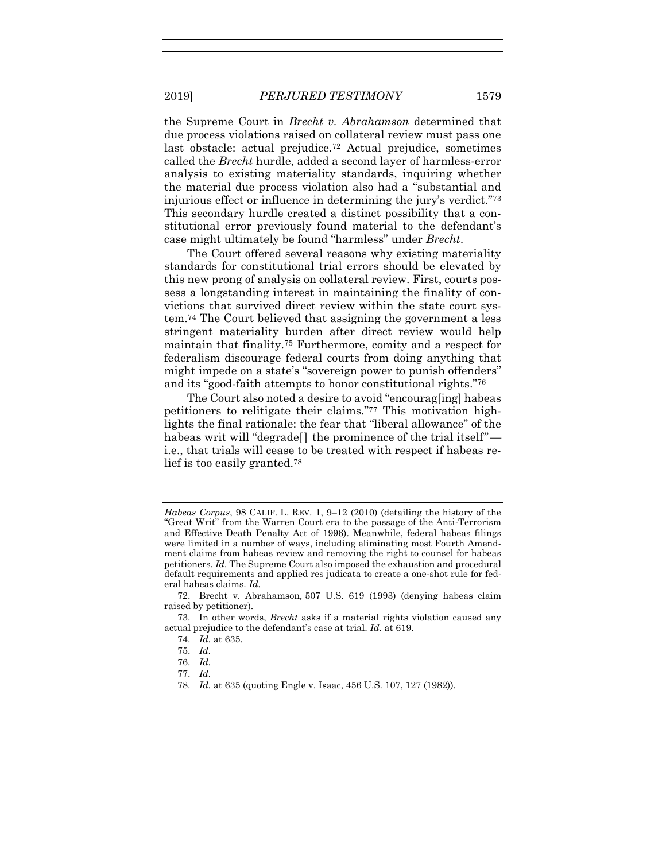the Supreme Court in *Brecht v. Abrahamson* determined that due process violations raised on collateral review must pass one last obstacle: actual prejudice.<sup>72</sup> Actual prejudice, sometimes called the *Brecht* hurdle, added a second layer of harmless-error analysis to existing materiality standards, inquiring whether the material due process violation also had a "substantial and injurious effect or influence in determining the jury's verdict."<sup>73</sup> This secondary hurdle created a distinct possibility that a constitutional error previously found material to the defendant's case might ultimately be found "harmless" under *Brecht*.

The Court offered several reasons why existing materiality standards for constitutional trial errors should be elevated by this new prong of analysis on collateral review. First, courts possess a longstanding interest in maintaining the finality of convictions that survived direct review within the state court system.<sup>74</sup> The Court believed that assigning the government a less stringent materiality burden after direct review would help maintain that finality.<sup>75</sup> Furthermore, comity and a respect for federalism discourage federal courts from doing anything that might impede on a state's "sovereign power to punish offenders" and its "good-faith attempts to honor constitutional rights."<sup>76</sup>

The Court also noted a desire to avoid "encourag[ing] habeas petitioners to relitigate their claims."<sup>77</sup> This motivation highlights the final rationale: the fear that "liberal allowance" of the habeas writ will "degrade<sup>[]</sup> the prominence of the trial itself" i.e., that trials will cease to be treated with respect if habeas relief is too easily granted.<sup>78</sup>

76. *Id.*

*Habeas Corpus*, 98 CALIF. L. REV. 1, 9–12 (2010) (detailing the history of the "Great Writ" from the Warren Court era to the passage of the Anti-Terrorism and Effective Death Penalty Act of 1996). Meanwhile, federal habeas filings were limited in a number of ways, including eliminating most Fourth Amendment claims from habeas review and removing the right to counsel for habeas petitioners. *Id.* The Supreme Court also imposed the exhaustion and procedural default requirements and applied res judicata to create a one-shot rule for federal habeas claims. *Id.*

<sup>72.</sup> Brecht v. Abrahamson*,* 507 U.S. 619 (1993) (denying habeas claim raised by petitioner).

<sup>73.</sup> In other words, *Brecht* asks if a material rights violation caused any actual prejudice to the defendant's case at trial. *Id.* at 619.

<sup>74.</sup> *Id.* at 635.

<sup>75.</sup> *Id.*

<sup>77.</sup> *Id.*

<sup>78.</sup> *Id.* at 635 (quoting Engle v. Isaac, 456 U.S. 107, 127 (1982)).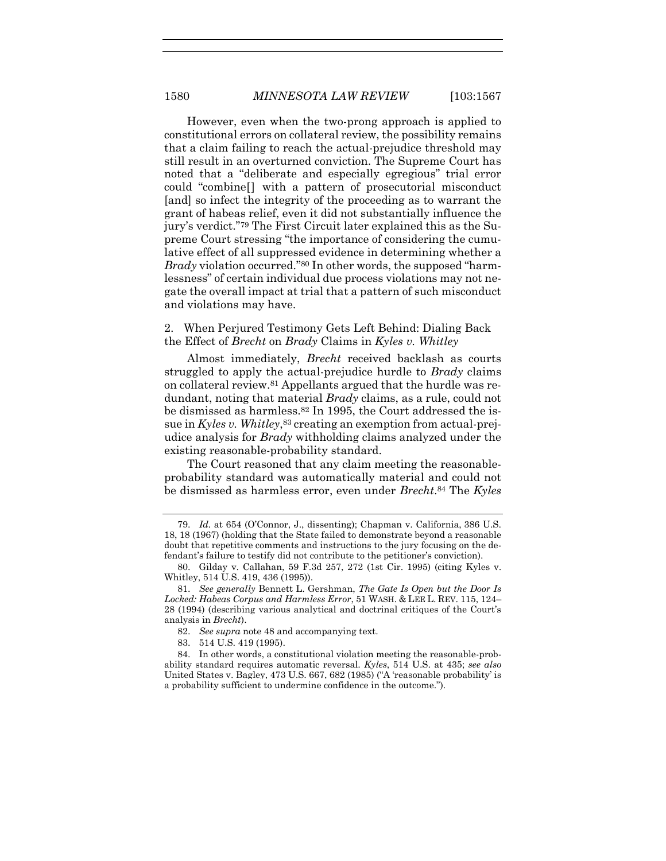However, even when the two-prong approach is applied to constitutional errors on collateral review, the possibility remains that a claim failing to reach the actual-prejudice threshold may still result in an overturned conviction. The Supreme Court has noted that a "deliberate and especially egregious" trial error could "combine[] with a pattern of prosecutorial misconduct [and] so infect the integrity of the proceeding as to warrant the grant of habeas relief, even it did not substantially influence the jury's verdict."<sup>79</sup> The First Circuit later explained this as the Supreme Court stressing "the importance of considering the cumulative effect of all suppressed evidence in determining whether a *Brady* violation occurred."<sup>80</sup> In other words, the supposed "harmlessness" of certain individual due process violations may not negate the overall impact at trial that a pattern of such misconduct and violations may have.

<span id="page-14-0"></span>2. When Perjured Testimony Gets Left Behind: Dialing Back the Effect of *Brecht* on *Brady* Claims in *Kyles v. Whitley*

Almost immediately, *Brecht* received backlash as courts struggled to apply the actual-prejudice hurdle to *Brady* claims on collateral review.<sup>81</sup> Appellants argued that the hurdle was redundant, noting that material *Brady* claims, as a rule, could not be dismissed as harmless.<sup>82</sup> In 1995, the Court addressed the issue in *Kyles v. Whitley*, <sup>83</sup> creating an exemption from actual-prejudice analysis for *Brady* withholding claims analyzed under the existing reasonable-probability standard.

The Court reasoned that any claim meeting the reasonableprobability standard was automatically material and could not be dismissed as harmless error, even under *Brecht*. <sup>84</sup> The *Kyles*

<sup>79.</sup> *Id.* at 654 (O'Connor, J., dissenting); Chapman v. California, 386 U.S. 18, 18 (1967) (holding that the State failed to demonstrate beyond a reasonable doubt that repetitive comments and instructions to the jury focusing on the defendant's failure to testify did not contribute to the petitioner's conviction).

<sup>80.</sup> Gilday v. Callahan, 59 F.3d 257, 272 (1st Cir. 1995) (citing Kyles v. Whitley, 514 U.S. 419, 436 (1995)).

<sup>81.</sup> *See generally* Bennett L. Gershman, *The Gate Is Open but the Door Is Locked: Habeas Corpus and Harmless Error*, 51 WASH. & LEE L. REV. 115, 124– 28 (1994) (describing various analytical and doctrinal critiques of the Court's analysis in *Brecht*).

<sup>82.</sup> *See supra* note [48](#page-9-0) and accompanying text.

<sup>83.</sup> 514 U.S. 419 (1995).

<sup>84.</sup> In other words, a constitutional violation meeting the reasonable-probability standard requires automatic reversal. *Kyles*, 514 U.S. at 435; *see also* United States v. Bagley, 473 U.S. 667, 682 (1985) ("A 'reasonable probability' is a probability sufficient to undermine confidence in the outcome.").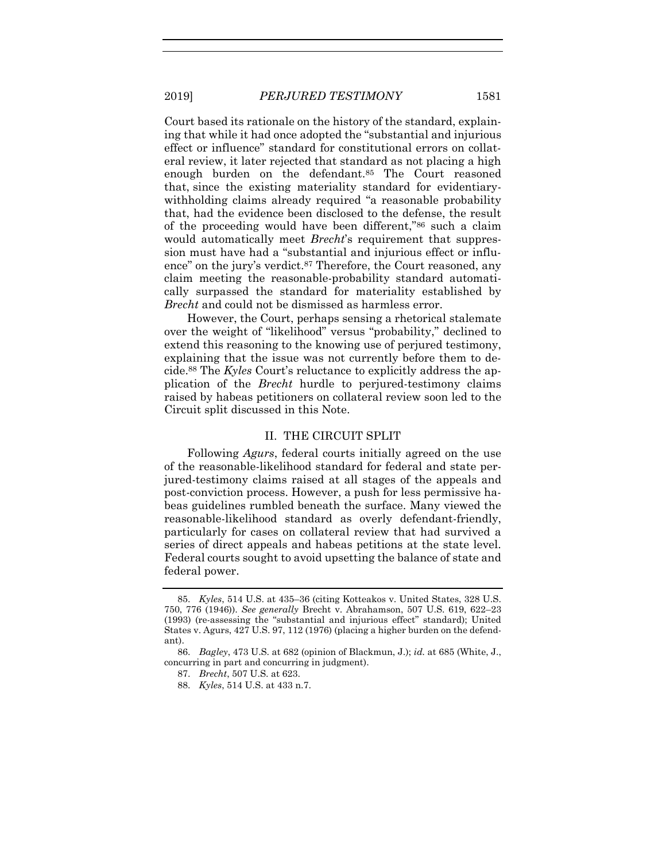Court based its rationale on the history of the standard, explaining that while it had once adopted the "substantial and injurious effect or influence" standard for constitutional errors on collateral review, it later rejected that standard as not placing a high enough burden on the defendant.<sup>85</sup> The Court reasoned that, since the existing materiality standard for evidentiarywithholding claims already required "a reasonable probability that, had the evidence been disclosed to the defense, the result of the proceeding would have been different,"<sup>86</sup> such a claim would automatically meet *Brecht*'s requirement that suppression must have had a "substantial and injurious effect or influence" on the jury's verdict.<sup>87</sup> Therefore, the Court reasoned, any claim meeting the reasonable-probability standard automatically surpassed the standard for materiality established by *Brecht* and could not be dismissed as harmless error.

<span id="page-15-0"></span>However, the Court, perhaps sensing a rhetorical stalemate over the weight of "likelihood" versus "probability," declined to extend this reasoning to the knowing use of perjured testimony, explaining that the issue was not currently before them to decide.<sup>88</sup> The *Kyles* Court's reluctance to explicitly address the application of the *Brecht* hurdle to perjured-testimony claims raised by habeas petitioners on collateral review soon led to the Circuit split discussed in this Note.

#### II. THE CIRCUIT SPLIT

Following *Agurs*, federal courts initially agreed on the use of the reasonable-likelihood standard for federal and state perjured-testimony claims raised at all stages of the appeals and post-conviction process. However, a push for less permissive habeas guidelines rumbled beneath the surface. Many viewed the reasonable-likelihood standard as overly defendant-friendly, particularly for cases on collateral review that had survived a series of direct appeals and habeas petitions at the state level. Federal courts sought to avoid upsetting the balance of state and federal power.

<sup>85.</sup> *Kyles*, 514 U.S. at 435–36 (citing Kotteakos v. United States, 328 U.S. 750, 776 (1946)). *See generally* Brecht v. Abrahamson, 507 U.S. 619, 622–23 (1993) (re-assessing the "substantial and injurious effect" standard); United States v. Agurs, 427 U.S. 97, 112 (1976) (placing a higher burden on the defendant).

<sup>86.</sup> *Bagley*, 473 U.S. at 682 (opinion of Blackmun, J.); *id.* at 685 (White, J., concurring in part and concurring in judgment).

<sup>87.</sup> *Brecht*, 507 U.S. at 623.

<sup>88.</sup> *Kyles*, 514 U.S. at 433 n.7.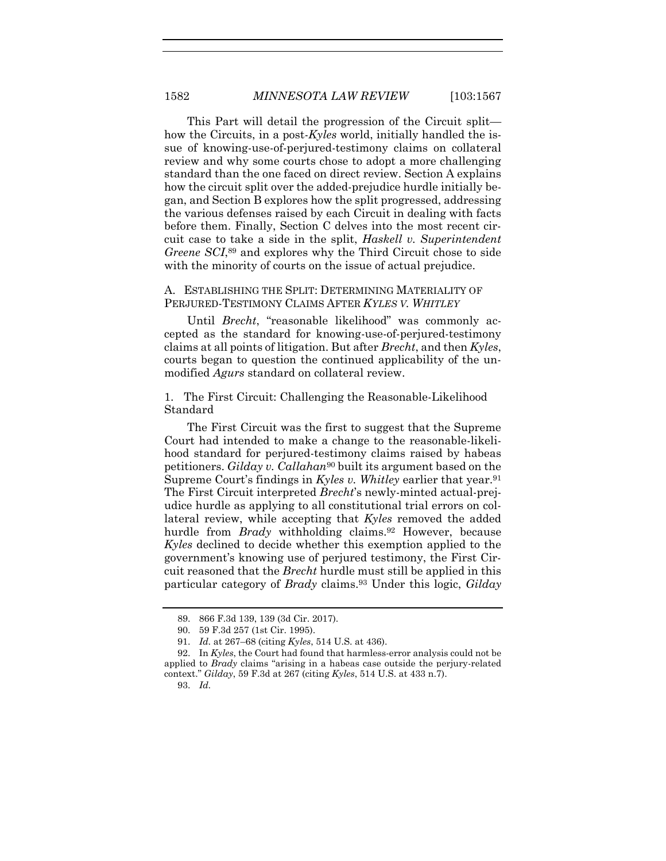This Part will detail the progression of the Circuit split how the Circuits, in a post-*Kyles* world, initially handled the issue of knowing-use-of-perjured-testimony claims on collateral review and why some courts chose to adopt a more challenging standard than the one faced on direct review. Section A explains how the circuit split over the added-prejudice hurdle initially began, and Section B explores how the split progressed, addressing the various defenses raised by each Circuit in dealing with facts before them. Finally, Section C delves into the most recent circuit case to take a side in the split, *Haskell v. Superintendent Greene SCI*, <sup>89</sup> and explores why the Third Circuit chose to side with the minority of courts on the issue of actual prejudice.

#### <span id="page-16-0"></span>A. ESTABLISHING THE SPLIT: DETERMINING MATERIALITY OF PERJURED-TESTIMONY CLAIMS AFTER *KYLES V. WHITLEY*

Until *Brecht*, "reasonable likelihood" was commonly accepted as the standard for knowing-use-of-perjured-testimony claims at all points of litigation. But after *Brecht*, and then *Kyles*, courts began to question the continued applicability of the unmodified *Agurs* standard on collateral review.

1. The First Circuit: Challenging the Reasonable-Likelihood Standard

<span id="page-16-1"></span>The First Circuit was the first to suggest that the Supreme Court had intended to make a change to the reasonable-likelihood standard for perjured-testimony claims raised by habeas petitioners. *Gilday v. Callahan*<sup>90</sup> built its argument based on the Supreme Court's findings in *Kyles v. Whitley* earlier that year.<sup>91</sup> The First Circuit interpreted *Brecht*'s newly-minted actual-prejudice hurdle as applying to all constitutional trial errors on collateral review, while accepting that *Kyles* removed the added hurdle from *Brady* withholding claims.<sup>92</sup> However, because *Kyles* declined to decide whether this exemption applied to the government's knowing use of perjured testimony, the First Circuit reasoned that the *Brecht* hurdle must still be applied in this particular category of *Brady* claims.<sup>93</sup> Under this logic, *Gilday*

93. *Id.*

<sup>89.</sup> 866 F.3d 139, 139 (3d Cir. 2017).

<sup>90.</sup> 59 F.3d 257 (1st Cir. 1995).

<sup>91.</sup> *Id.* at 267–68 (citing *Kyles*, 514 U.S. at 436).

<sup>92.</sup> In *Kyles*, the Court had found that harmless-error analysis could not be applied to *Brady* claims "arising in a habeas case outside the perjury-related context." *Gilday*, 59 F.3d at 267 (citing *Kyles*, 514 U.S. at 433 n.7).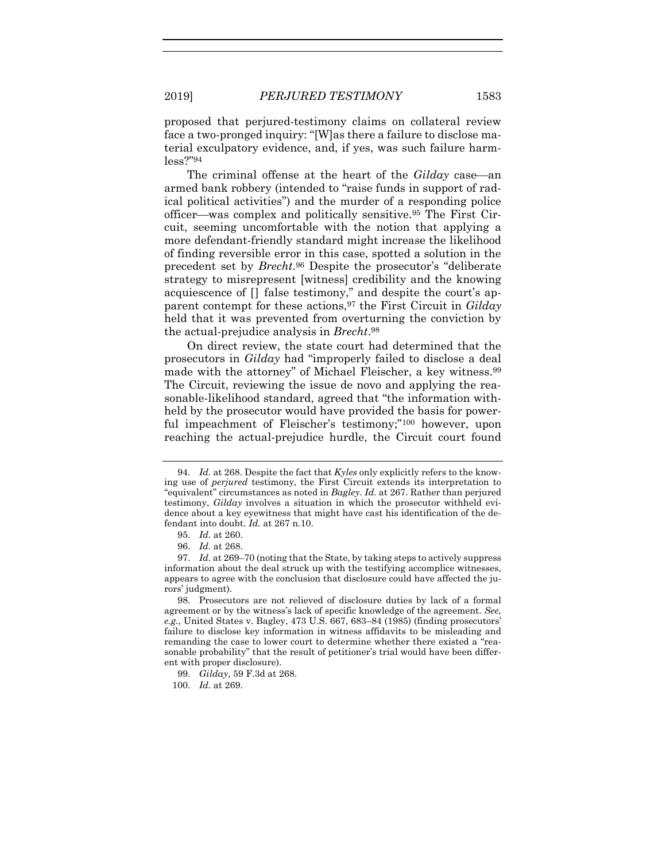proposed that perjured-testimony claims on collateral review face a two-pronged inquiry: "[W]as there a failure to disclose material exculpatory evidence, and, if yes, was such failure harmless?"<sup>94</sup>

<span id="page-17-0"></span>The criminal offense at the heart of the *Gilday* case—an armed bank robbery (intended to "raise funds in support of radical political activities") and the murder of a responding police officer—was complex and politically sensitive.<sup>95</sup> The First Circuit, seeming uncomfortable with the notion that applying a more defendant-friendly standard might increase the likelihood of finding reversible error in this case, spotted a solution in the precedent set by *Brecht*. <sup>96</sup> Despite the prosecutor's "deliberate strategy to misrepresent [witness] credibility and the knowing acquiescence of [] false testimony," and despite the court's apparent contempt for these actions,<sup>97</sup> the First Circuit in *Gilday* held that it was prevented from overturning the conviction by the actual-prejudice analysis in *Brecht*. 98

On direct review, the state court had determined that the prosecutors in *Gilday* had "improperly failed to disclose a deal made with the attorney" of Michael Fleischer, a key witness.<sup>99</sup> The Circuit, reviewing the issue de novo and applying the reasonable-likelihood standard, agreed that "the information withheld by the prosecutor would have provided the basis for powerful impeachment of Fleischer's testimony;"<sup>100</sup> however, upon reaching the actual-prejudice hurdle, the Circuit court found

100. *Id.* at 269.

<sup>94.</sup> *Id.* at 268. Despite the fact that *Kyles* only explicitly refers to the knowing use of *perjured* testimony, the First Circuit extends its interpretation to "equivalent" circumstances as noted in *Bagley*. *Id.* at 267. Rather than perjured testimony, *Gilday* involves a situation in which the prosecutor withheld evidence about a key eyewitness that might have cast his identification of the defendant into doubt. *Id.* at 267 n.10.

<sup>95.</sup> *Id.* at 260.

<sup>96.</sup> *Id.* at 268.

<sup>97.</sup> *Id.* at 269–70 (noting that the State, by taking steps to actively suppress information about the deal struck up with the testifying accomplice witnesses, appears to agree with the conclusion that disclosure could have affected the jurors' judgment).

<sup>98.</sup> Prosecutors are not relieved of disclosure duties by lack of a formal agreement or by the witness's lack of specific knowledge of the agreement. *See, e.g.*, United States v. Bagley, 473 U.S. 667, 683–84 (1985) (finding prosecutors' failure to disclose key information in witness affidavits to be misleading and remanding the case to lower court to determine whether there existed a "reasonable probability" that the result of petitioner's trial would have been different with proper disclosure).

<sup>99.</sup> *Gilday*, 59 F.3d at 268.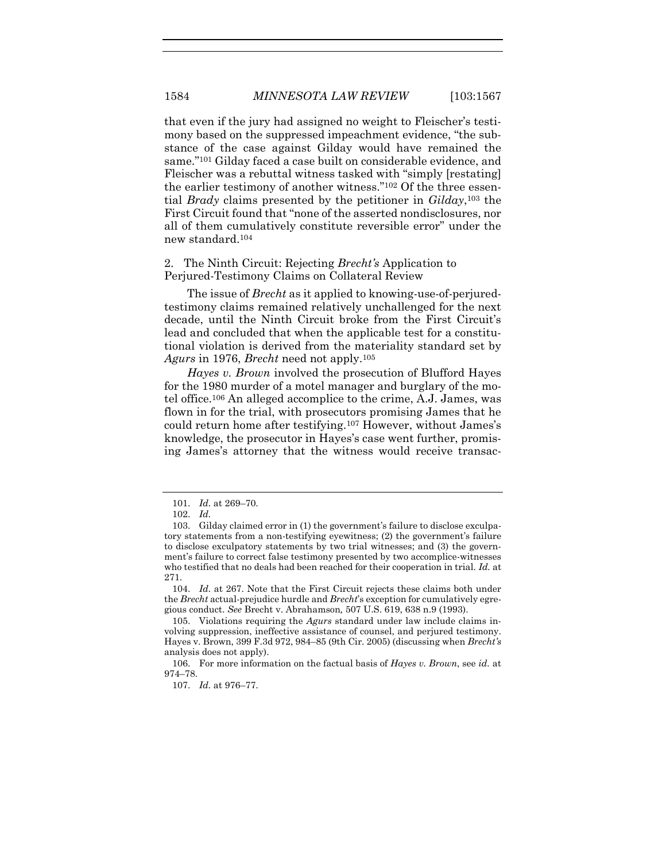that even if the jury had assigned no weight to Fleischer's testimony based on the suppressed impeachment evidence, "the substance of the case against Gilday would have remained the same."<sup>101</sup> Gilday faced a case built on considerable evidence, and Fleischer was a rebuttal witness tasked with "simply [restating] the earlier testimony of another witness."<sup>102</sup> Of the three essential *Brady* claims presented by the petitioner in *Gilday*, <sup>103</sup> the First Circuit found that "none of the asserted nondisclosures, nor all of them cumulatively constitute reversible error" under the new standard.<sup>104</sup>

#### 2. The Ninth Circuit: Rejecting *Brecht's* Application to Perjured-Testimony Claims on Collateral Review

The issue of *Brecht* as it applied to knowing-use-of-perjuredtestimony claims remained relatively unchallenged for the next decade, until the Ninth Circuit broke from the First Circuit's lead and concluded that when the applicable test for a constitutional violation is derived from the materiality standard set by *Agurs* in 1976, *Brecht* need not apply.<sup>105</sup>

*Hayes v. Brown* involved the prosecution of Blufford Hayes for the 1980 murder of a motel manager and burglary of the motel office.<sup>106</sup> An alleged accomplice to the crime, A.J. James, was flown in for the trial, with prosecutors promising James that he could return home after testifying.<sup>107</sup> However, without James's knowledge, the prosecutor in Hayes's case went further, promising James's attorney that the witness would receive transac-

104. *Id.* at 267. Note that the First Circuit rejects these claims both under the *Brecht* actual-prejudice hurdle and *Brecht*'s exception for cumulatively egregious conduct. *See* Brecht v. Abrahamson*,* 507 U.S. 619, 638 n.9 (1993).

105. Violations requiring the *Agurs* standard under law include claims involving suppression, ineffective assistance of counsel, and perjured testimony. Hayes v. Brown, 399 F.3d 972, 984–85 (9th Cir. 2005) (discussing when *Brecht's*  analysis does not apply).

<sup>101.</sup> *Id.* at 269–70.

<sup>102.</sup> *Id.*

<sup>103.</sup> Gilday claimed error in (1) the government's failure to disclose exculpatory statements from a non-testifying eyewitness; (2) the government's failure to disclose exculpatory statements by two trial witnesses; and (3) the government's failure to correct false testimony presented by two accomplice-witnesses who testified that no deals had been reached for their cooperation in trial. *Id.* at 271.

<sup>106.</sup> For more information on the factual basis of *Hayes v. Brown*, see *id.* at 974–78.

<sup>107.</sup> *Id.* at 976–77.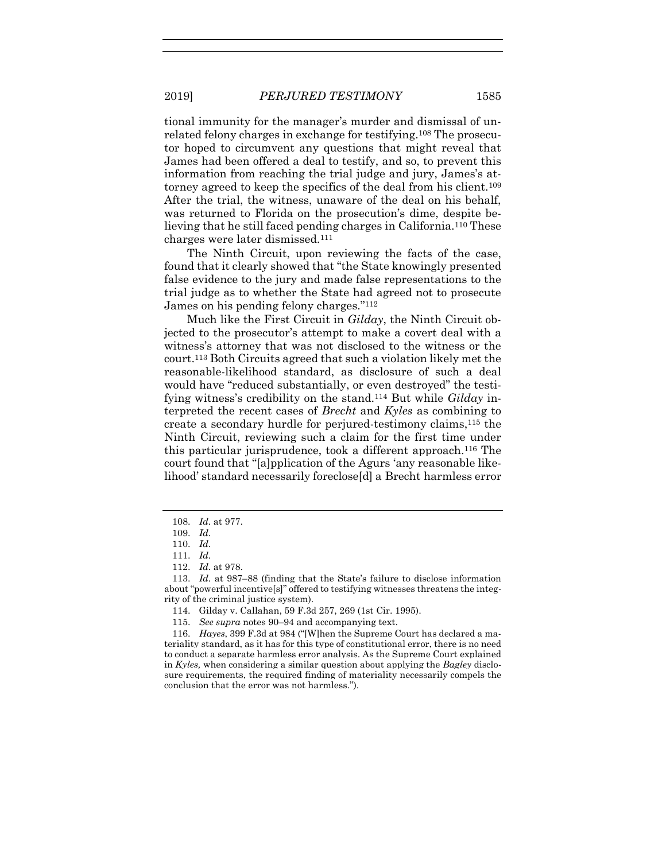tional immunity for the manager's murder and dismissal of unrelated felony charges in exchange for testifying.<sup>108</sup> The prosecutor hoped to circumvent any questions that might reveal that James had been offered a deal to testify, and so, to prevent this information from reaching the trial judge and jury, James's attorney agreed to keep the specifics of the deal from his client.<sup>109</sup> After the trial, the witness, unaware of the deal on his behalf, was returned to Florida on the prosecution's dime, despite believing that he still faced pending charges in California.<sup>110</sup> These charges were later dismissed.<sup>111</sup>

The Ninth Circuit, upon reviewing the facts of the case, found that it clearly showed that "the State knowingly presented false evidence to the jury and made false representations to the trial judge as to whether the State had agreed not to prosecute James on his pending felony charges."<sup>112</sup>

Much like the First Circuit in *Gilday*, the Ninth Circuit objected to the prosecutor's attempt to make a covert deal with a witness's attorney that was not disclosed to the witness or the court.<sup>113</sup> Both Circuits agreed that such a violation likely met the reasonable-likelihood standard, as disclosure of such a deal would have "reduced substantially, or even destroyed" the testifying witness's credibility on the stand.<sup>114</sup> But while *Gilday* interpreted the recent cases of *Brecht* and *Kyles* as combining to create a secondary hurdle for perjured-testimony claims,<sup>115</sup> the Ninth Circuit, reviewing such a claim for the first time under this particular jurisprudence, took a different approach.<sup>116</sup> The court found that "[a]pplication of the Agurs 'any reasonable likelihood' standard necessarily foreclose[d] a Brecht harmless error

<sup>108.</sup> *Id.* at 977.

<sup>109.</sup> *Id.*

<sup>110.</sup> *Id.*

<sup>111.</sup> *Id.*

<sup>112.</sup> *Id.* at 978.

<sup>113.</sup> *Id.* at 987–88 (finding that the State's failure to disclose information about "powerful incentive[s]" offered to testifying witnesses threatens the integrity of the criminal justice system).

<sup>114.</sup> Gilday v. Callahan, 59 F.3d 257, 269 (1st Cir. 1995).

<sup>115.</sup> *See supra* note[s 90](#page-16-1)–[94](#page-17-0) and accompanying text.

<sup>116.</sup> *Hayes*, 399 F.3d at 984 ("[W]hen the Supreme Court has declared a materiality standard, as it has for this type of constitutional error, there is no need to conduct a separate harmless error analysis. As the Supreme Court explained in *Kyles,* when considering a similar question about applying the *Bagley* disclosure requirements, the required finding of materiality necessarily compels the conclusion that the error was not harmless.").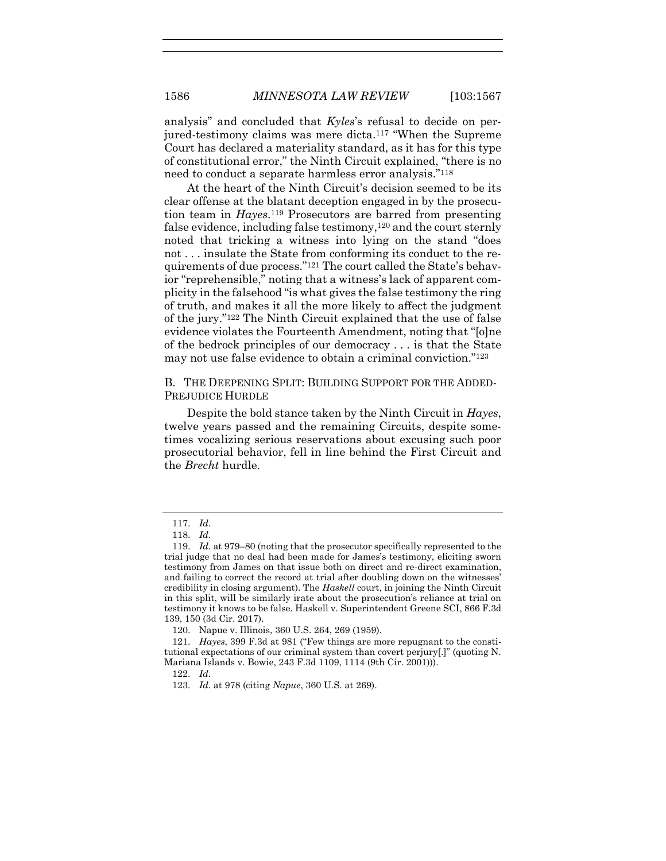analysis" and concluded that *Kyles*'s refusal to decide on perjured-testimony claims was mere dicta.<sup>117</sup> "When the Supreme Court has declared a materiality standard, as it has for this type of constitutional error," the Ninth Circuit explained, "there is no need to conduct a separate harmless error analysis."<sup>118</sup>

At the heart of the Ninth Circuit's decision seemed to be its clear offense at the blatant deception engaged in by the prosecution team in *Hayes*. <sup>119</sup> Prosecutors are barred from presenting false evidence, including false testimony,<sup>120</sup> and the court sternly noted that tricking a witness into lying on the stand "does not . . . insulate the State from conforming its conduct to the requirements of due process."<sup>121</sup> The court called the State's behavior "reprehensible," noting that a witness's lack of apparent complicity in the falsehood "is what gives the false testimony the ring of truth, and makes it all the more likely to affect the judgment of the jury."<sup>122</sup> The Ninth Circuit explained that the use of false evidence violates the Fourteenth Amendment, noting that "[o]ne of the bedrock principles of our democracy . . . is that the State may not use false evidence to obtain a criminal conviction."<sup>123</sup>

B. THE DEEPENING SPLIT: BUILDING SUPPORT FOR THE ADDED-PREJUDICE HURDLE

Despite the bold stance taken by the Ninth Circuit in *Hayes*, twelve years passed and the remaining Circuits, despite sometimes vocalizing serious reservations about excusing such poor prosecutorial behavior, fell in line behind the First Circuit and the *Brecht* hurdle.

<sup>117.</sup> *Id.*

<sup>118.</sup> *Id.*

<sup>119.</sup> *Id.* at 979–80 (noting that the prosecutor specifically represented to the trial judge that no deal had been made for James's testimony, eliciting sworn testimony from James on that issue both on direct and re-direct examination, and failing to correct the record at trial after doubling down on the witnesses' credibility in closing argument). The *Haskell* court, in joining the Ninth Circuit in this split, will be similarly irate about the prosecution's reliance at trial on testimony it knows to be false. Haskell v. Superintendent Greene SCI, 866 F.3d 139, 150 (3d Cir. 2017).

<sup>120.</sup> Napue v. Illinois, 360 U.S. 264, 269 (1959).

<sup>121.</sup> *Hayes*, 399 F.3d at 981 ("Few things are more repugnant to the constitutional expectations of our criminal system than covert perjury[.]" (quoting N. Mariana Islands v. Bowie, 243 F.3d 1109, 1114 (9th Cir. 2001))).

<sup>122.</sup> *Id.*

<sup>123.</sup> *Id.* at 978 (citing *Napue*, 360 U.S. at 269).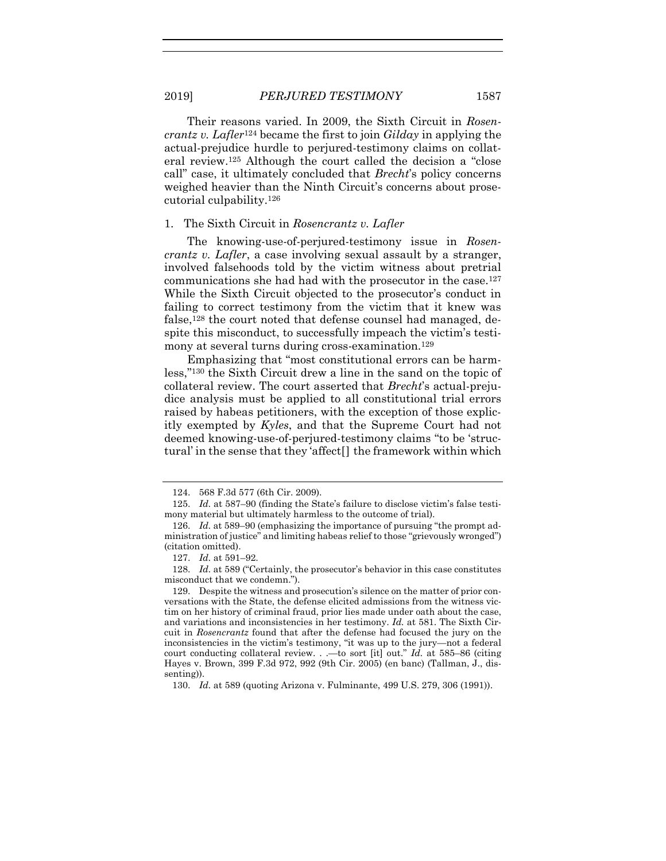Their reasons varied. In 2009, the Sixth Circuit in *Rosencrantz v. Lafler*<sup>124</sup> became the first to join *Gilday* in applying the actual-prejudice hurdle to perjured-testimony claims on collateral review.<sup>125</sup> Although the court called the decision a "close call" case, it ultimately concluded that *Brecht*'s policy concerns weighed heavier than the Ninth Circuit's concerns about prosecutorial culpability.<sup>126</sup>

#### 1. The Sixth Circuit in *Rosencrantz v. Lafler*

The knowing-use-of-perjured-testimony issue in *Rosencrantz v. Lafler*, a case involving sexual assault by a stranger, involved falsehoods told by the victim witness about pretrial communications she had had with the prosecutor in the case.<sup>127</sup> While the Sixth Circuit objected to the prosecutor's conduct in failing to correct testimony from the victim that it knew was false,<sup>128</sup> the court noted that defense counsel had managed, despite this misconduct, to successfully impeach the victim's testimony at several turns during cross-examination.<sup>129</sup>

Emphasizing that "most constitutional errors can be harmless,"<sup>130</sup> the Sixth Circuit drew a line in the sand on the topic of collateral review. The court asserted that *Brecht*'s actual-prejudice analysis must be applied to all constitutional trial errors raised by habeas petitioners, with the exception of those explicitly exempted by *Kyles*, and that the Supreme Court had not deemed knowing-use-of-perjured-testimony claims "to be 'structural' in the sense that they 'affect[] the framework within which

<sup>124.</sup> 568 F.3d 577 (6th Cir. 2009).

<sup>125.</sup> *Id.* at 587–90 (finding the State's failure to disclose victim's false testimony material but ultimately harmless to the outcome of trial).

<sup>126.</sup> *Id.* at 589–90 (emphasizing the importance of pursuing "the prompt administration of justice" and limiting habeas relief to those "grievously wronged") (citation omitted).

<sup>127.</sup> *Id.* at 591–92.

<sup>128.</sup> *Id.* at 589 ("Certainly, the prosecutor's behavior in this case constitutes misconduct that we condemn.").

<sup>129.</sup> Despite the witness and prosecution's silence on the matter of prior conversations with the State, the defense elicited admissions from the witness victim on her history of criminal fraud, prior lies made under oath about the case, and variations and inconsistencies in her testimony. *Id.* at 581. The Sixth Circuit in *Rosencrantz* found that after the defense had focused the jury on the inconsistencies in the victim's testimony, "it was up to the jury—not a federal court conducting collateral review. . .—to sort [it] out." *Id.* at 585–86 (citing Hayes v. Brown, 399 F.3d 972, 992 (9th Cir. 2005) (en banc) (Tallman, J., dissenting)).

<sup>130.</sup> *Id.* at 589 (quoting Arizona v. Fulminante, 499 U.S. 279, 306 (1991)).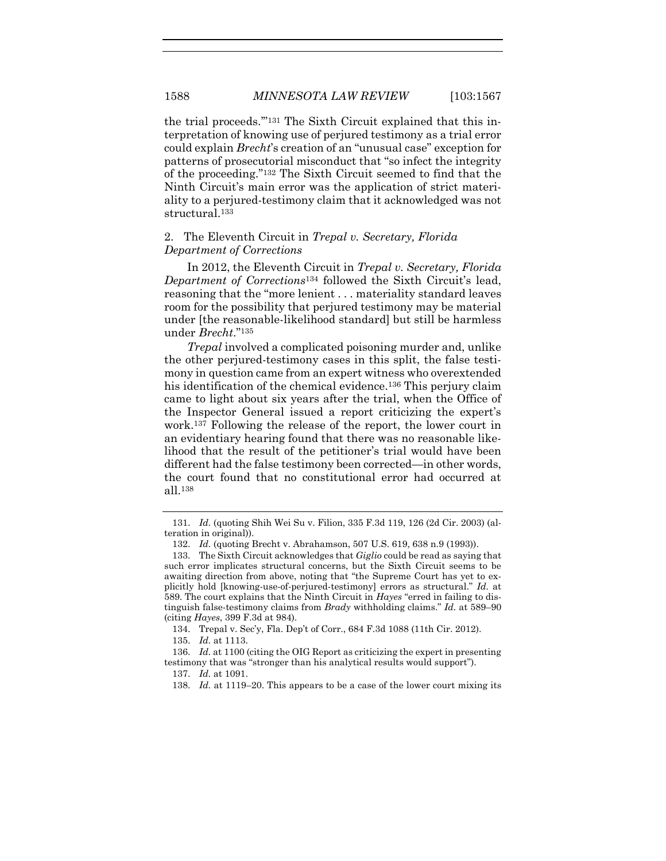the trial proceeds.'"<sup>131</sup> The Sixth Circuit explained that this interpretation of knowing use of perjured testimony as a trial error could explain *Brecht*'s creation of an "unusual case" exception for patterns of prosecutorial misconduct that "so infect the integrity of the proceeding."<sup>132</sup> The Sixth Circuit seemed to find that the Ninth Circuit's main error was the application of strict materiality to a perjured-testimony claim that it acknowledged was not structural.<sup>133</sup>

#### 2. The Eleventh Circuit in *Trepal v. Secretary, Florida Department of Corrections*

In 2012, the Eleventh Circuit in *Trepal v. Secretary, Florida Department of Corrections*<sup>134</sup> followed the Sixth Circuit's lead, reasoning that the "more lenient . . . materiality standard leaves room for the possibility that perjured testimony may be material under [the reasonable-likelihood standard] but still be harmless under *Brecht*."<sup>135</sup>

*Trepal* involved a complicated poisoning murder and, unlike the other perjured-testimony cases in this split, the false testimony in question came from an expert witness who overextended his identification of the chemical evidence.<sup>136</sup> This perjury claim came to light about six years after the trial, when the Office of the Inspector General issued a report criticizing the expert's work.<sup>137</sup> Following the release of the report, the lower court in an evidentiary hearing found that there was no reasonable likelihood that the result of the petitioner's trial would have been different had the false testimony been corrected—in other words, the court found that no constitutional error had occurred at all.<sup>138</sup>

134. Trepal v. Sec'y, Fla. Dep't of Corr., 684 F.3d 1088 (11th Cir. 2012).

135. *Id.* at 1113.

<sup>131.</sup> *Id.* (quoting Shih Wei Su v. Filion, 335 F.3d 119, 126 (2d Cir. 2003) (alteration in original)).

<sup>132.</sup> *Id.* (quoting Brecht v. Abrahamson, 507 U.S. 619, 638 n.9 (1993)).

<sup>133.</sup> The Sixth Circuit acknowledges that *Giglio* could be read as saying that such error implicates structural concerns, but the Sixth Circuit seems to be awaiting direction from above, noting that "the Supreme Court has yet to explicitly hold [knowing-use-of-perjured-testimony] errors as structural." *Id.* at 589. The court explains that the Ninth Circuit in *Hayes* "erred in failing to distinguish false-testimony claims from *Brady* withholding claims." *Id.* at 589–90 (citing *Hayes*, 399 F.3d at 984).

<sup>136.</sup> *Id.* at 1100 (citing the OIG Report as criticizing the expert in presenting testimony that was "stronger than his analytical results would support").

<sup>137.</sup> *Id.* at 1091.

<sup>138.</sup> *Id.* at 1119–20. This appears to be a case of the lower court mixing its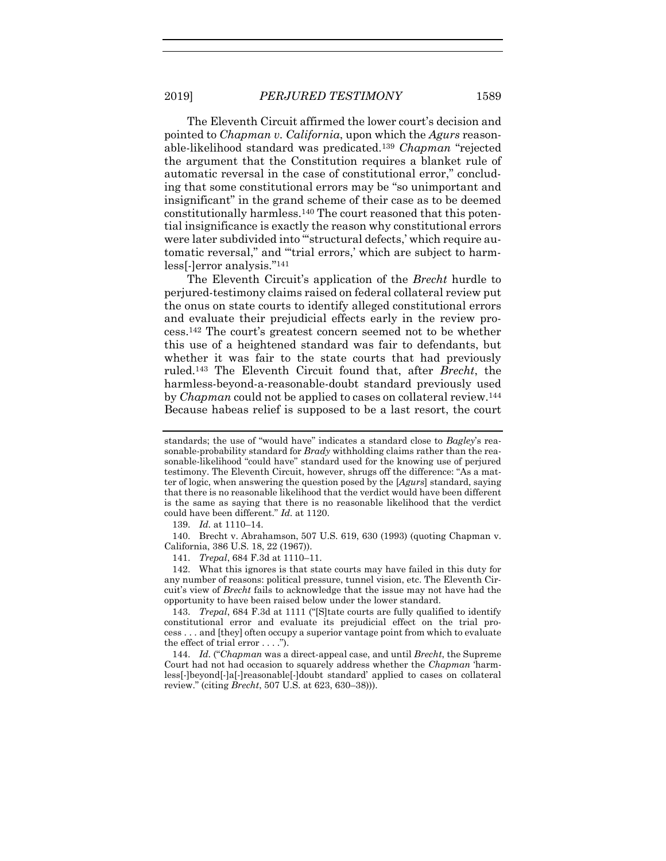The Eleventh Circuit affirmed the lower court's decision and pointed to *Chapman v. California*, upon which the *Agurs* reasonable-likelihood standard was predicated.<sup>139</sup> *Chapman* "rejected the argument that the Constitution requires a blanket rule of automatic reversal in the case of constitutional error," concluding that some constitutional errors may be "so unimportant and insignificant" in the grand scheme of their case as to be deemed constitutionally harmless.<sup>140</sup> The court reasoned that this potential insignificance is exactly the reason why constitutional errors were later subdivided into "'structural defects,' which require automatic reversal," and "'trial errors,' which are subject to harmless[-]error analysis."<sup>141</sup>

The Eleventh Circuit's application of the *Brecht* hurdle to perjured-testimony claims raised on federal collateral review put the onus on state courts to identify alleged constitutional errors and evaluate their prejudicial effects early in the review process.<sup>142</sup> The court's greatest concern seemed not to be whether this use of a heightened standard was fair to defendants, but whether it was fair to the state courts that had previously ruled.<sup>143</sup> The Eleventh Circuit found that, after *Brecht*, the harmless-beyond-a-reasonable-doubt standard previously used by *Chapman* could not be applied to cases on collateral review.<sup>144</sup> Because habeas relief is supposed to be a last resort, the court

139. *Id.* at 1110–14.

140. Brecht v. Abrahamson, 507 U.S. 619, 630 (1993) (quoting Chapman v. California, 386 U.S. 18, 22 (1967)).

141. *Trepal*, 684 F.3d at 1110–11.

142. What this ignores is that state courts may have failed in this duty for any number of reasons: political pressure, tunnel vision, etc. The Eleventh Circuit's view of *Brecht* fails to acknowledge that the issue may not have had the opportunity to have been raised below under the lower standard.

143. *Trepal*, 684 F.3d at 1111 ("[S]tate courts are fully qualified to identify constitutional error and evaluate its prejudicial effect on the trial process . . . and [they] often occupy a superior vantage point from which to evaluate the effect of trial error . . . .").

144. *Id.* ("*Chapman* was a direct-appeal case, and until *Brecht*, the Supreme Court had not had occasion to squarely address whether the *Chapman* 'harmless[-]beyond[-]a[-]reasonable[-]doubt standard' applied to cases on collateral review." (citing *Brecht*, 507 U.S. at 623, 630–38))).

standards; the use of "would have" indicates a standard close to *Bagley*'s reasonable-probability standard for *Brady* withholding claims rather than the reasonable-likelihood "could have" standard used for the knowing use of perjured testimony. The Eleventh Circuit, however, shrugs off the difference: "As a matter of logic, when answering the question posed by the [*Agurs*] standard, saying that there is no reasonable likelihood that the verdict would have been different is the same as saying that there is no reasonable likelihood that the verdict could have been different." *Id.* at 1120.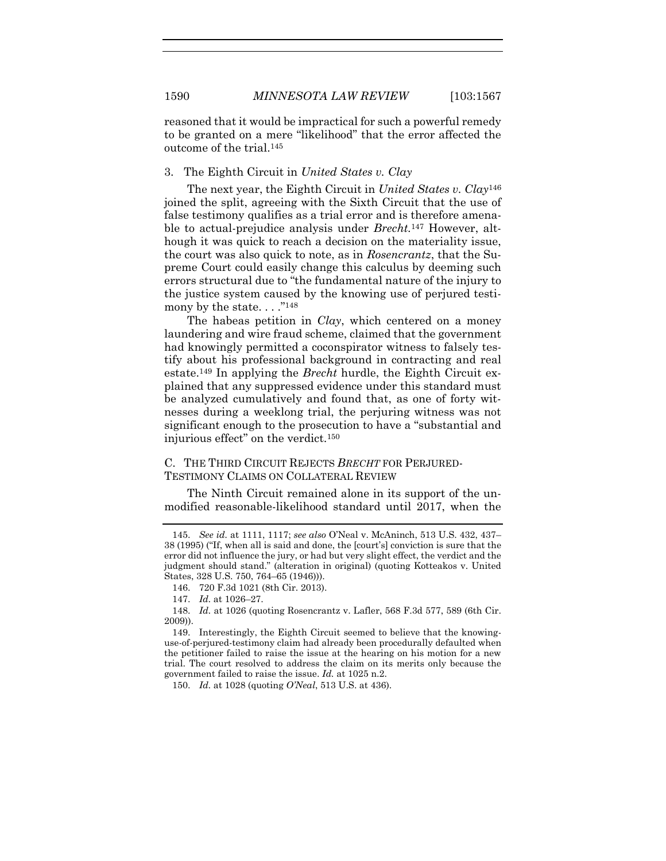reasoned that it would be impractical for such a powerful remedy to be granted on a mere "likelihood" that the error affected the outcome of the trial.<sup>145</sup>

#### 3. The Eighth Circuit in *United States v. Clay*

The next year, the Eighth Circuit in *United States v. Clay*<sup>146</sup> joined the split, agreeing with the Sixth Circuit that the use of false testimony qualifies as a trial error and is therefore amenable to actual-prejudice analysis under *Brecht.*<sup>147</sup> However, although it was quick to reach a decision on the materiality issue, the court was also quick to note, as in *Rosencrantz*, that the Supreme Court could easily change this calculus by deeming such errors structural due to "the fundamental nature of the injury to the justice system caused by the knowing use of perjured testimony by the state...." $^{148}$ 

The habeas petition in *Clay*, which centered on a money laundering and wire fraud scheme, claimed that the government had knowingly permitted a coconspirator witness to falsely testify about his professional background in contracting and real estate.<sup>149</sup> In applying the *Brecht* hurdle, the Eighth Circuit explained that any suppressed evidence under this standard must be analyzed cumulatively and found that, as one of forty witnesses during a weeklong trial, the perjuring witness was not significant enough to the prosecution to have a "substantial and injurious effect" on the verdict.<sup>150</sup>

# C. THE THIRD CIRCUIT REJECTS *BRECHT* FOR PERJURED-TESTIMONY CLAIMS ON COLLATERAL REVIEW

The Ninth Circuit remained alone in its support of the unmodified reasonable-likelihood standard until 2017, when the

146. 720 F.3d 1021 (8th Cir. 2013).

<sup>145.</sup> *See id.* at 1111, 1117; *see also* O'Neal v. McAninch, 513 U.S. 432, 437– 38 (1995) ("If, when all is said and done, the [court's] conviction is sure that the error did not influence the jury, or had but very slight effect, the verdict and the judgment should stand." (alteration in original) (quoting Kotteakos v. United States, 328 U.S. 750, 764–65 (1946))).

<sup>147.</sup> *Id.* at 1026–27.

<sup>148.</sup> *Id.* at 1026 (quoting Rosencrantz v. Lafler, 568 F.3d 577, 589 (6th Cir. 2009)).

<sup>149.</sup> Interestingly, the Eighth Circuit seemed to believe that the knowinguse-of-perjured-testimony claim had already been procedurally defaulted when the petitioner failed to raise the issue at the hearing on his motion for a new trial. The court resolved to address the claim on its merits only because the government failed to raise the issue. *Id.* at 1025 n.2.

<sup>150.</sup> *Id.* at 1028 (quoting *O'Neal*, 513 U.S. at 436).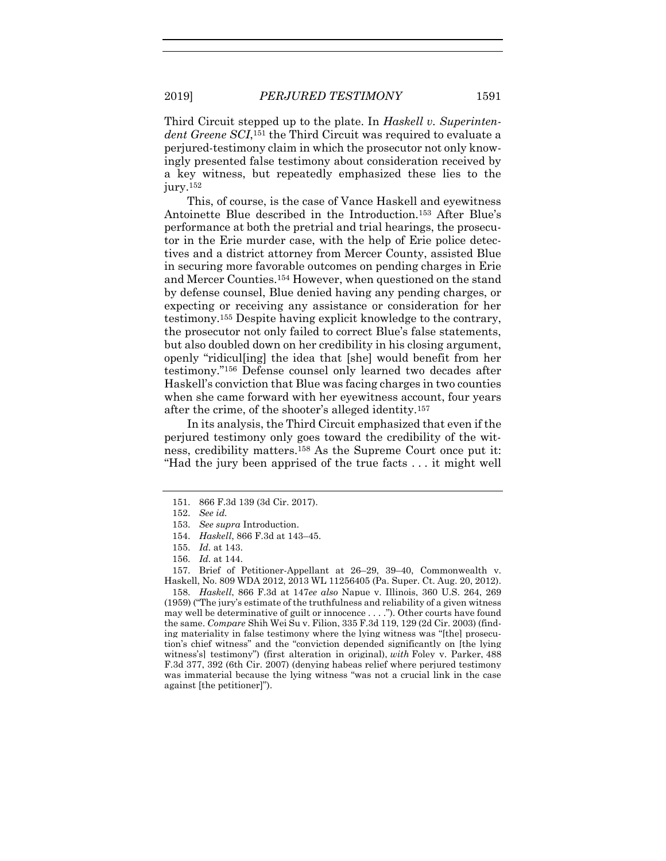Third Circuit stepped up to the plate. In *Haskell v. Superintendent Greene SCI*, <sup>151</sup> the Third Circuit was required to evaluate a perjured-testimony claim in which the prosecutor not only knowingly presented false testimony about consideration received by a key witness, but repeatedly emphasized these lies to the jury.<sup>152</sup>

This, of course, is the case of Vance Haskell and eyewitness Antoinette Blue described in the Introduction.<sup>153</sup> After Blue's performance at both the pretrial and trial hearings, the prosecutor in the Erie murder case, with the help of Erie police detectives and a district attorney from Mercer County, assisted Blue in securing more favorable outcomes on pending charges in Erie and Mercer Counties.<sup>154</sup> However, when questioned on the stand by defense counsel, Blue denied having any pending charges, or expecting or receiving any assistance or consideration for her testimony.<sup>155</sup> Despite having explicit knowledge to the contrary, the prosecutor not only failed to correct Blue's false statements, but also doubled down on her credibility in his closing argument, openly "ridicul[ing] the idea that [she] would benefit from her testimony."<sup>156</sup> Defense counsel only learned two decades after Haskell's conviction that Blue was facing charges in two counties when she came forward with her eyewitness account, four years after the crime, of the shooter's alleged identity.<sup>157</sup>

In its analysis, the Third Circuit emphasized that even if the perjured testimony only goes toward the credibility of the witness, credibility matters.<sup>158</sup> As the Supreme Court once put it: "Had the jury been apprised of the true facts . . . it might well

157. Brief of Petitioner-Appellant at 26–29, 39–40, Commonwealth v. Haskell, No. 809 WDA 2012, 2013 WL 11256405 (Pa. Super. Ct. Aug. 20, 2012).

158. *Haskell*, 866 F.3d at 147*ee also* Napue v. Illinois, 360 U.S. 264, 269 (1959) ("The jury's estimate of the truthfulness and reliability of a given witness may well be determinative of guilt or innocence . . . ."). Other courts have found the same. *Compare* Shih Wei Su v. Filion, 335 F.3d 119, 129 (2d Cir. 2003) (finding materiality in false testimony where the lying witness was "[the] prosecution's chief witness" and the "conviction depended significantly on [the lying witness's] testimony") (first alteration in original), *with* Foley v. Parker, 488 F.3d 377, 392 (6th Cir. 2007) (denying habeas relief where perjured testimony was immaterial because the lying witness "was not a crucial link in the case against [the petitioner]").

<sup>151.</sup> 866 F.3d 139 (3d Cir. 2017).

<sup>152.</sup> *See id.*

<sup>153.</sup> *See supra* Introduction.

<sup>154.</sup> *Haskell*, 866 F.3d at 143–45.

<sup>155.</sup> *Id.* at 143.

<sup>156.</sup> *Id.* at 144.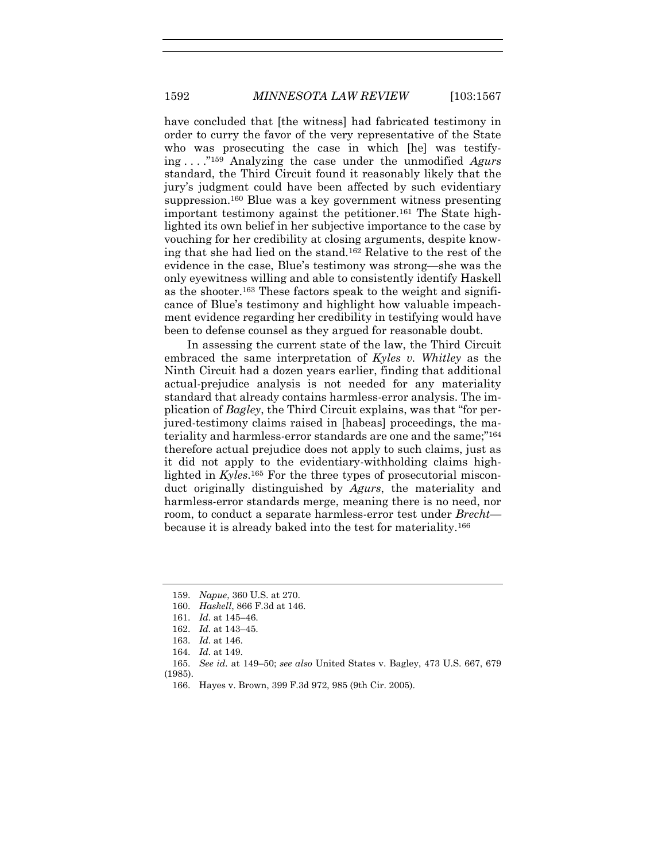have concluded that [the witness] had fabricated testimony in order to curry the favor of the very representative of the State who was prosecuting the case in which [he] was testifying . . . ."<sup>159</sup> Analyzing the case under the unmodified *Agurs* standard, the Third Circuit found it reasonably likely that the jury's judgment could have been affected by such evidentiary suppression.<sup>160</sup> Blue was a key government witness presenting important testimony against the petitioner.<sup>161</sup> The State highlighted its own belief in her subjective importance to the case by vouching for her credibility at closing arguments, despite knowing that she had lied on the stand.<sup>162</sup> Relative to the rest of the evidence in the case, Blue's testimony was strong—she was the only eyewitness willing and able to consistently identify Haskell as the shooter.<sup>163</sup> These factors speak to the weight and significance of Blue's testimony and highlight how valuable impeachment evidence regarding her credibility in testifying would have been to defense counsel as they argued for reasonable doubt.

In assessing the current state of the law, the Third Circuit embraced the same interpretation of *Kyles v. Whitley* as the Ninth Circuit had a dozen years earlier, finding that additional actual-prejudice analysis is not needed for any materiality standard that already contains harmless-error analysis. The implication of *Bagley*, the Third Circuit explains, was that "for perjured-testimony claims raised in [habeas] proceedings, the materiality and harmless-error standards are one and the same;" 164 therefore actual prejudice does not apply to such claims, just as it did not apply to the evidentiary-withholding claims highlighted in *Kyles*. <sup>165</sup> For the three types of prosecutorial misconduct originally distinguished by *Agurs*, the materiality and harmless-error standards merge, meaning there is no need, nor room, to conduct a separate harmless-error test under *Brecht* because it is already baked into the test for materiality.<sup>166</sup>

<sup>159.</sup> *Napue*, 360 U.S. at 270.

<sup>160.</sup> *Haskell*, 866 F.3d at 146.

<sup>161.</sup> *Id.* at 145–46.

<sup>162.</sup> *Id.* at 143–45.

<sup>163.</sup> *Id.* at 146.

<sup>164.</sup> *Id.* at 149.

<sup>165.</sup> *See id.* at 149–50; *see also* United States v. Bagley, 473 U.S. 667, 679

<sup>(1985).</sup>

<sup>166.</sup> Hayes v. Brown, 399 F.3d 972, 985 (9th Cir. 2005).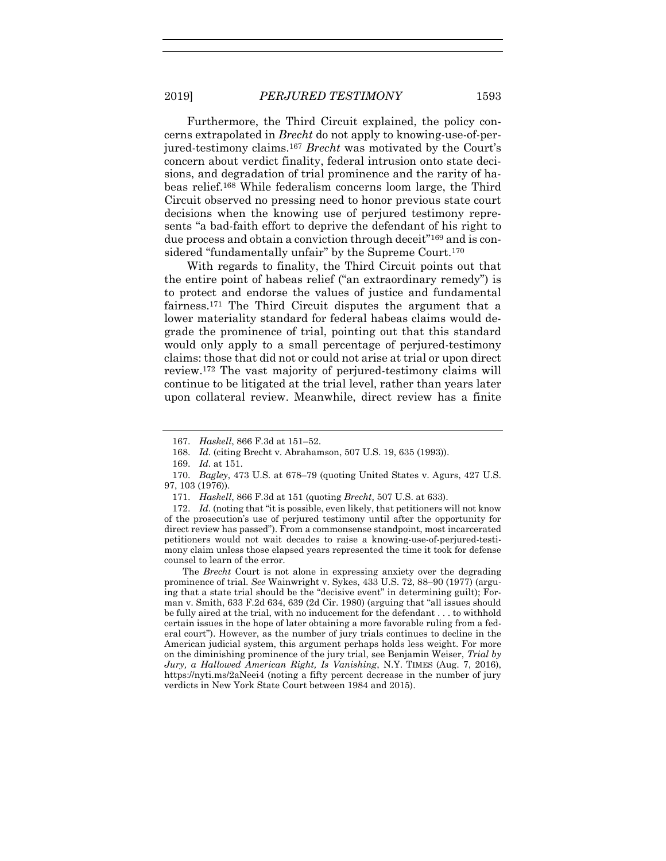Furthermore, the Third Circuit explained, the policy concerns extrapolated in *Brecht* do not apply to knowing-use-of-perjured-testimony claims.<sup>167</sup> *Brecht* was motivated by the Court's concern about verdict finality, federal intrusion onto state decisions, and degradation of trial prominence and the rarity of habeas relief.<sup>168</sup> While federalism concerns loom large, the Third Circuit observed no pressing need to honor previous state court decisions when the knowing use of perjured testimony represents "a bad-faith effort to deprive the defendant of his right to due process and obtain a conviction through deceit"<sup>169</sup> and is considered "fundamentally unfair" by the Supreme Court.<sup>170</sup>

With regards to finality, the Third Circuit points out that the entire point of habeas relief ("an extraordinary remedy") is to protect and endorse the values of justice and fundamental fairness.<sup>171</sup> The Third Circuit disputes the argument that a lower materiality standard for federal habeas claims would degrade the prominence of trial, pointing out that this standard would only apply to a small percentage of perjured-testimony claims: those that did not or could not arise at trial or upon direct review.<sup>172</sup> The vast majority of perjured-testimony claims will continue to be litigated at the trial level, rather than years later upon collateral review. Meanwhile, direct review has a finite

The *Brecht* Court is not alone in expressing anxiety over the degrading prominence of trial. *See* Wainwright v. Sykes, 433 U.S. 72, 88–90 (1977) (arguing that a state trial should be the "decisive event" in determining guilt); Forman v. Smith, 633 F.2d 634, 639 (2d Cir. 1980) (arguing that "all issues should be fully aired at the trial, with no inducement for the defendant . . . to withhold certain issues in the hope of later obtaining a more favorable ruling from a federal court"). However, as the number of jury trials continues to decline in the American judicial system, this argument perhaps holds less weight. For more on the diminishing prominence of the jury trial, see Benjamin Weiser, *Trial by Jury, a Hallowed American Right, Is Vanishing*, N.Y. TIMES (Aug. 7, 2016), https://nyti.ms/2aNeei4 (noting a fifty percent decrease in the number of jury verdicts in New York State Court between 1984 and 2015).

<sup>167.</sup> *Haskell*, 866 F.3d at 151–52.

<sup>168.</sup> *Id.* (citing Brecht v. Abrahamson, 507 U.S. 19, 635 (1993)).

<sup>169.</sup> *Id.* at 151.

<sup>170.</sup> *Bagley*, 473 U.S. at 678–79 (quoting United States v. Agurs, 427 U.S. 97, 103 (1976)).

<sup>171.</sup> *Haskell*, 866 F.3d at 151 (quoting *Brecht*, 507 U.S. at 633).

<sup>172.</sup> *Id.* (noting that "it is possible, even likely, that petitioners will not know of the prosecution's use of perjured testimony until after the opportunity for direct review has passed"). From a commonsense standpoint, most incarcerated petitioners would not wait decades to raise a knowing-use-of-perjured-testimony claim unless those elapsed years represented the time it took for defense counsel to learn of the error.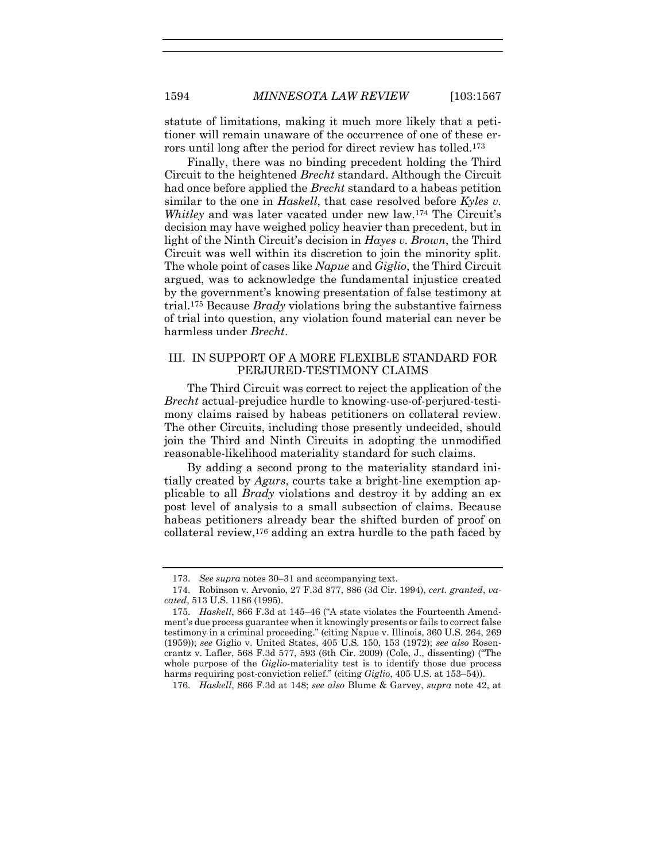statute of limitations, making it much more likely that a petitioner will remain unaware of the occurrence of one of these errors until long after the period for direct review has tolled.<sup>173</sup>

Finally, there was no binding precedent holding the Third Circuit to the heightened *Brecht* standard. Although the Circuit had once before applied the *Brecht* standard to a habeas petition similar to the one in *Haskell*, that case resolved before *Kyles v. Whitley* and was later vacated under new law.<sup>174</sup> The Circuit's decision may have weighed policy heavier than precedent, but in light of the Ninth Circuit's decision in *Hayes v. Brown*, the Third Circuit was well within its discretion to join the minority split. The whole point of cases like *Napue* and *Giglio*, the Third Circuit argued, was to acknowledge the fundamental injustice created by the government's knowing presentation of false testimony at trial.<sup>175</sup> Because *Brady* violations bring the substantive fairness of trial into question, any violation found material can never be harmless under *Brecht*.

#### <span id="page-28-0"></span>III. IN SUPPORT OF A MORE FLEXIBLE STANDARD FOR PERJURED-TESTIMONY CLAIMS

The Third Circuit was correct to reject the application of the *Brecht* actual-prejudice hurdle to knowing-use-of-perjured-testimony claims raised by habeas petitioners on collateral review. The other Circuits, including those presently undecided, should join the Third and Ninth Circuits in adopting the unmodified reasonable-likelihood materiality standard for such claims.

By adding a second prong to the materiality standard initially created by *Agurs*, courts take a bright-line exemption applicable to all *Brady* violations and destroy it by adding an ex post level of analysis to a small subsection of claims. Because habeas petitioners already bear the shifted burden of proof on collateral review,<sup>176</sup> adding an extra hurdle to the path faced by

<sup>173.</sup> *See supra* note[s 30](#page-6-0)–[31](#page-6-1) and accompanying text.

<sup>174.</sup> Robinson v. Arvonio, 27 F.3d 877, 886 (3d Cir. 1994), *cert. granted*, *vacated*, 513 U.S. 1186 (1995).

<sup>175.</sup> *Haskell*, 866 F.3d at 145–46 ("A state violates the Fourteenth Amendment's due process guarantee when it knowingly presents or fails to correct false testimony in a criminal proceeding." (citing Napue v. Illinois, 360 U.S. 264, 269 (1959)); *see* Giglio v. United States, 405 U.S. 150, 153 (1972); *see also* Rosencrantz v. Lafler, 568 F.3d 577, 593 (6th Cir. 2009) (Cole, J., dissenting) ("The whole purpose of the *Giglio*-materiality test is to identify those due process harms requiring post-conviction relief." (citing *Giglio*, 405 U.S. at 153–54)).

<sup>176.</sup> *Haskell*, 866 F.3d at 148; *see also* Blume & Garvey, *supra* note [42,](#page-8-0) at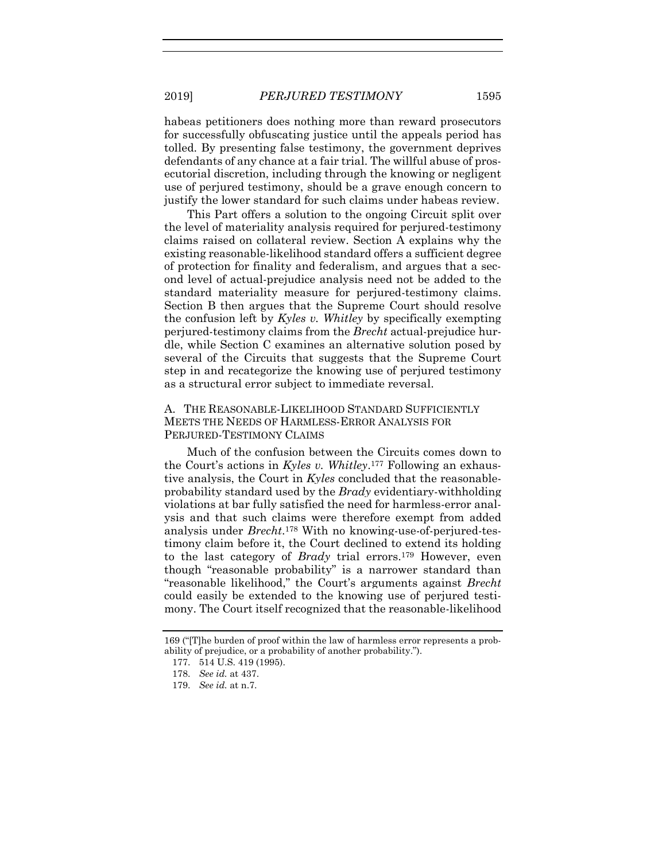habeas petitioners does nothing more than reward prosecutors for successfully obfuscating justice until the appeals period has tolled. By presenting false testimony, the government deprives defendants of any chance at a fair trial. The willful abuse of prosecutorial discretion, including through the knowing or negligent use of perjured testimony, should be a grave enough concern to justify the lower standard for such claims under habeas review.

This Part offers a solution to the ongoing Circuit split over the level of materiality analysis required for perjured-testimony claims raised on collateral review. Section A explains why the existing reasonable-likelihood standard offers a sufficient degree of protection for finality and federalism, and argues that a second level of actual-prejudice analysis need not be added to the standard materiality measure for perjured-testimony claims. Section B then argues that the Supreme Court should resolve the confusion left by *Kyles v. Whitley* by specifically exempting perjured-testimony claims from the *Brecht* actual-prejudice hurdle, while Section C examines an alternative solution posed by several of the Circuits that suggests that the Supreme Court step in and recategorize the knowing use of perjured testimony as a structural error subject to immediate reversal.

# A. THE REASONABLE-LIKELIHOOD STANDARD SUFFICIENTLY MEETS THE NEEDS OF HARMLESS-ERROR ANALYSIS FOR PERJURED-TESTIMONY CLAIMS

Much of the confusion between the Circuits comes down to the Court's actions in *Kyles v. Whitley*. <sup>177</sup> Following an exhaustive analysis, the Court in *Kyles* concluded that the reasonableprobability standard used by the *Brady* evidentiary-withholding violations at bar fully satisfied the need for harmless-error analysis and that such claims were therefore exempt from added analysis under *Brecht*. <sup>178</sup> With no knowing-use-of-perjured-testimony claim before it, the Court declined to extend its holding to the last category of *Brady* trial errors.<sup>179</sup> However, even though "reasonable probability" is a narrower standard than "reasonable likelihood," the Court's arguments against *Brecht* could easily be extended to the knowing use of perjured testimony. The Court itself recognized that the reasonable-likelihood

<sup>169 (&</sup>quot;[T]he burden of proof within the law of harmless error represents a probability of prejudice, or a probability of another probability.").

<sup>177.</sup> 514 U.S. 419 (1995).

<sup>178.</sup> *See id.* at 437.

<sup>179.</sup> *See id.* at n.7.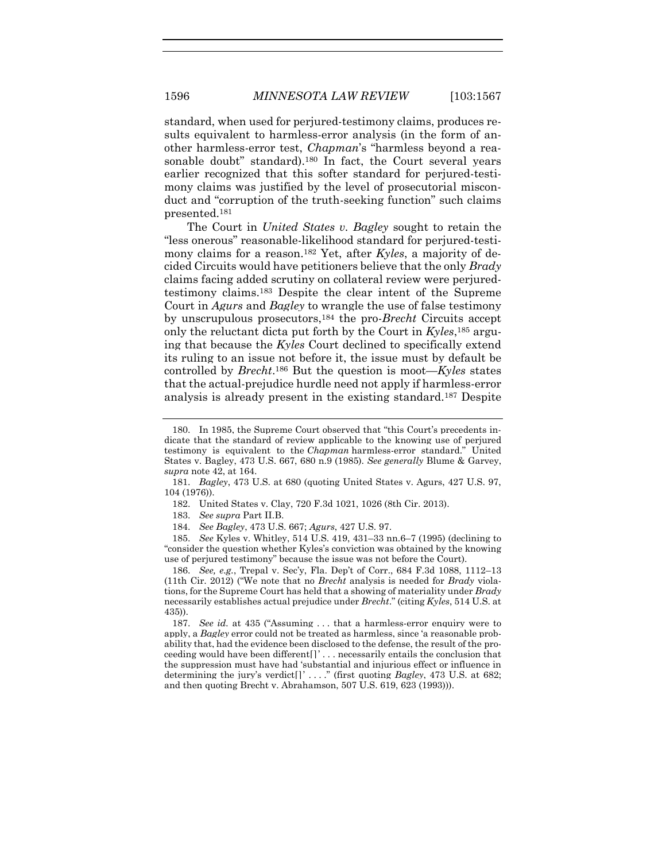standard, when used for perjured-testimony claims, produces results equivalent to harmless-error analysis (in the form of another harmless-error test, *Chapman*'s "harmless beyond a reasonable doubt" standard).<sup>180</sup> In fact, the Court several years earlier recognized that this softer standard for perjured-testimony claims was justified by the level of prosecutorial misconduct and "corruption of the truth-seeking function" such claims presented.<sup>181</sup>

The Court in *United States v. Bagley* sought to retain the "less onerous" reasonable-likelihood standard for perjured-testimony claims for a reason.<sup>182</sup> Yet, after *Kyles*, a majority of decided Circuits would have petitioners believe that the only *Brady* claims facing added scrutiny on collateral review were perjuredtestimony claims.<sup>183</sup> Despite the clear intent of the Supreme Court in *Agurs* and *Bagley* to wrangle the use of false testimony by unscrupulous prosecutors,<sup>184</sup> the pro-*Brecht* Circuits accept only the reluctant dicta put forth by the Court in *Kyles*, <sup>185</sup> arguing that because the *Kyles* Court declined to specifically extend its ruling to an issue not before it, the issue must by default be controlled by *Brecht*. <sup>186</sup> But the question is moot—*Kyles* states that the actual-prejudice hurdle need not apply if harmless-error analysis is already present in the existing standard.<sup>187</sup> Despite

185. *See* Kyles v. Whitley, 514 U.S. 419, 431–33 nn.6–7 (1995) (declining to "consider the question whether Kyles's conviction was obtained by the knowing use of perjured testimony" because the issue was not before the Court).

186. *See, e.g.*, Trepal v. Sec'y, Fla. Dep't of Corr., 684 F.3d 1088, 1112–13 (11th Cir. 2012) ("We note that no *Brecht* analysis is needed for *Brady* violations, for the Supreme Court has held that a showing of materiality under *Brady*  necessarily establishes actual prejudice under *Brecht*." (citing *Kyles*, 514 U.S. at 435)).

187. *See id.* at 435 ("Assuming . . . that a harmless-error enquiry were to apply, a *Bagley* error could not be treated as harmless, since 'a reasonable probability that, had the evidence been disclosed to the defense, the result of the proceeding would have been different[]' . . . necessarily entails the conclusion that the suppression must have had 'substantial and injurious effect or influence in determining the jury's verdict[]' . . . ." (first quoting *Bagley*, 473 U.S. at 682; and then quoting Brecht v. Abrahamson, 507 U.S. 619, 623 (1993))).

<sup>180.</sup> In 1985, the Supreme Court observed that "this Court's precedents indicate that the standard of review applicable to the knowing use of perjured testimony is equivalent to the *Chapman* harmless-error standard." United States v. Bagley, 473 U.S. 667, 680 n.9 (1985). *See generally* Blume & Garvey, *supra* note [42,](#page-8-0) at 164.

<sup>181.</sup> *Bagley*, 473 U.S. at 680 (quoting United States v. Agurs, 427 U.S. 97, 104 (1976)).

<sup>182.</sup> United States v. Clay, 720 F.3d 1021, 1026 (8th Cir. 2013).

<sup>183.</sup> *See supra* Part II.B.

<sup>184.</sup> *See Bagley*, 473 U.S. 667; *Agurs*, 427 U.S. 97.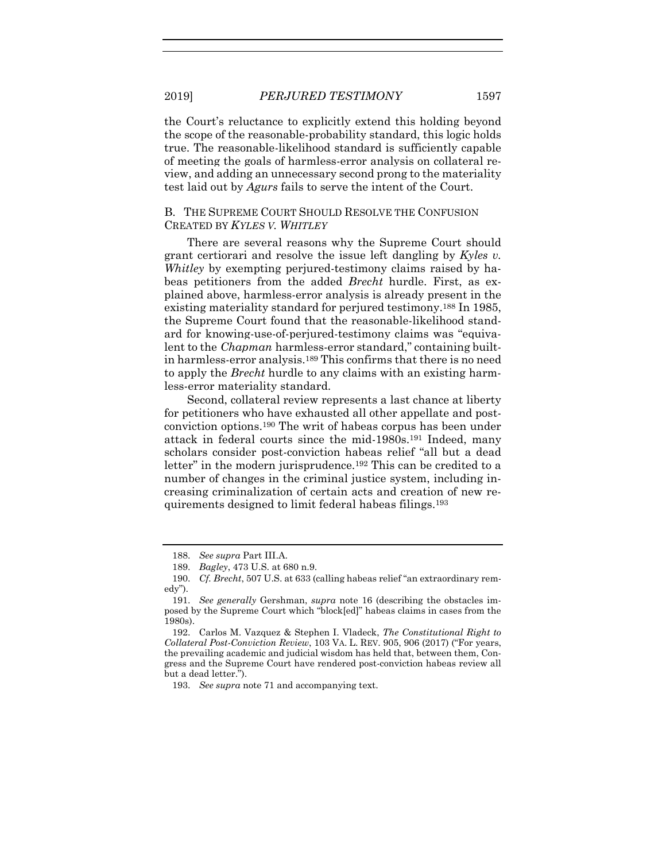the Court's reluctance to explicitly extend this holding beyond the scope of the reasonable-probability standard, this logic holds true. The reasonable-likelihood standard is sufficiently capable of meeting the goals of harmless-error analysis on collateral review, and adding an unnecessary second prong to the materiality test laid out by *Agurs* fails to serve the intent of the Court.

#### B. THE SUPREME COURT SHOULD RESOLVE THE CONFUSION CREATED BY *KYLES V. WHITLEY*

There are several reasons why the Supreme Court should grant certiorari and resolve the issue left dangling by *Kyles v. Whitley* by exempting perjured-testimony claims raised by habeas petitioners from the added *Brecht* hurdle. First, as explained above, harmless-error analysis is already present in the existing materiality standard for perjured testimony.<sup>188</sup> In 1985, the Supreme Court found that the reasonable-likelihood standard for knowing-use-of-perjured-testimony claims was "equivalent to the *Chapman* harmless-error standard," containing builtin harmless-error analysis.<sup>189</sup> This confirms that there is no need to apply the *Brecht* hurdle to any claims with an existing harmless-error materiality standard.

Second, collateral review represents a last chance at liberty for petitioners who have exhausted all other appellate and postconviction options. <sup>190</sup> The writ of habeas corpus has been under attack in federal courts since the mid-1980s.<sup>191</sup> Indeed, many scholars consider post-conviction habeas relief "all but a dead letter" in the modern jurisprudence.<sup>192</sup> This can be credited to a number of changes in the criminal justice system, including increasing criminalization of certain acts and creation of new requirements designed to limit federal habeas filings.<sup>193</sup>

<sup>188.</sup> *See supra* Part III.A.

<sup>189.</sup> *Bagley*, 473 U.S. at 680 n.9.

<sup>190.</sup> *Cf. Brecht*, 507 U.S. at 633 (calling habeas relief "an extraordinary remedy").

<sup>191.</sup> *See generally* Gershman, *supra* note [16](#page-3-0) (describing the obstacles imposed by the Supreme Court which "block[ed]" habeas claims in cases from the 1980s).

<sup>192.</sup> Carlos M. Vazquez & Stephen I. Vladeck, *The Constitutional Right to Collateral Post-Conviction Review*, 103 VA. L. REV. 905, 906 (2017) ("For years, the prevailing academic and judicial wisdom has held that, between them, Congress and the Supreme Court have rendered post-conviction habeas review all but a dead letter.").

<sup>193.</sup> *See supra* note [71](#page-12-0) and accompanying text.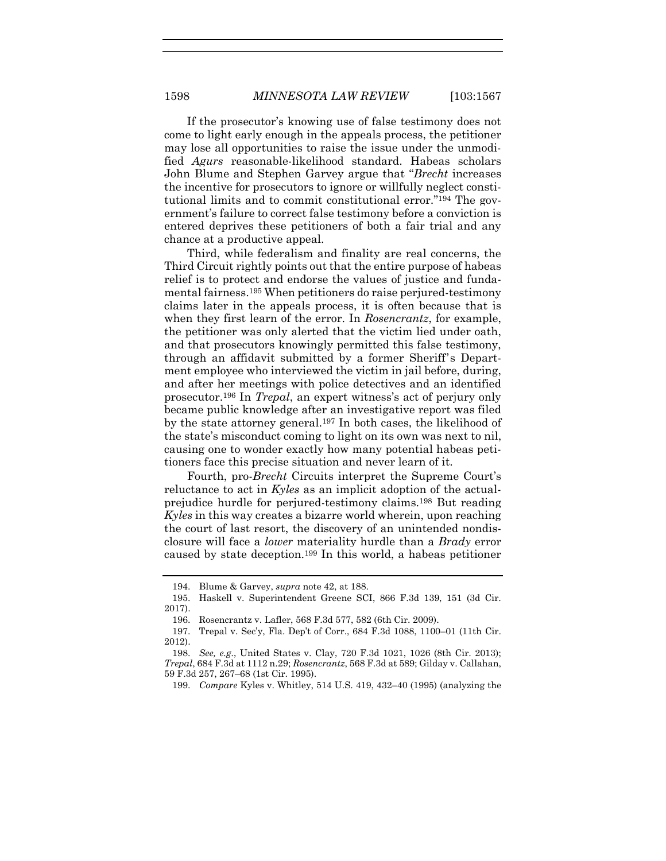If the prosecutor's knowing use of false testimony does not come to light early enough in the appeals process, the petitioner may lose all opportunities to raise the issue under the unmodified *Agurs* reasonable-likelihood standard. Habeas scholars John Blume and Stephen Garvey argue that "*Brecht* increases the incentive for prosecutors to ignore or willfully neglect constitutional limits and to commit constitutional error."<sup>194</sup> The government's failure to correct false testimony before a conviction is entered deprives these petitioners of both a fair trial and any chance at a productive appeal.

Third, while federalism and finality are real concerns, the Third Circuit rightly points out that the entire purpose of habeas relief is to protect and endorse the values of justice and fundamental fairness.<sup>195</sup> When petitioners do raise perjured-testimony claims later in the appeals process, it is often because that is when they first learn of the error. In *Rosencrantz*, for example, the petitioner was only alerted that the victim lied under oath, and that prosecutors knowingly permitted this false testimony, through an affidavit submitted by a former Sheriff's Department employee who interviewed the victim in jail before, during, and after her meetings with police detectives and an identified prosecutor.<sup>196</sup> In *Trepal*, an expert witness's act of perjury only became public knowledge after an investigative report was filed by the state attorney general.<sup>197</sup> In both cases, the likelihood of the state's misconduct coming to light on its own was next to nil, causing one to wonder exactly how many potential habeas petitioners face this precise situation and never learn of it.

Fourth, pro-*Brecht* Circuits interpret the Supreme Court's reluctance to act in *Kyles* as an implicit adoption of the actualprejudice hurdle for perjured-testimony claims.<sup>198</sup> But reading *Kyles* in this way creates a bizarre world wherein, upon reaching the court of last resort, the discovery of an unintended nondisclosure will face a *lower* materiality hurdle than a *Brady* error caused by state deception. <sup>199</sup> In this world, a habeas petitioner

<sup>194.</sup> Blume & Garvey, *supra* note [42,](#page-8-0) at 188.

<sup>195.</sup> Haskell v. Superintendent Greene SCI, 866 F.3d 139, 151 (3d Cir. 2017).

<sup>196.</sup> Rosencrantz v. Lafler, 568 F.3d 577, 582 (6th Cir. 2009).

<sup>197.</sup> Trepal v. Sec'y, Fla. Dep't of Corr., 684 F.3d 1088, 1100–01 (11th Cir. 2012).

<sup>198.</sup> *See, e.g.*, United States v. Clay, 720 F.3d 1021, 1026 (8th Cir. 2013); *Trepal*, 684 F.3d at 1112 n.29; *Rosencrantz*, 568 F.3d at 589; Gilday v. Callahan, 59 F.3d 257, 267–68 (1st Cir. 1995).

<sup>199.</sup> *Compare* Kyles v. Whitley, 514 U.S. 419, 432–40 (1995) (analyzing the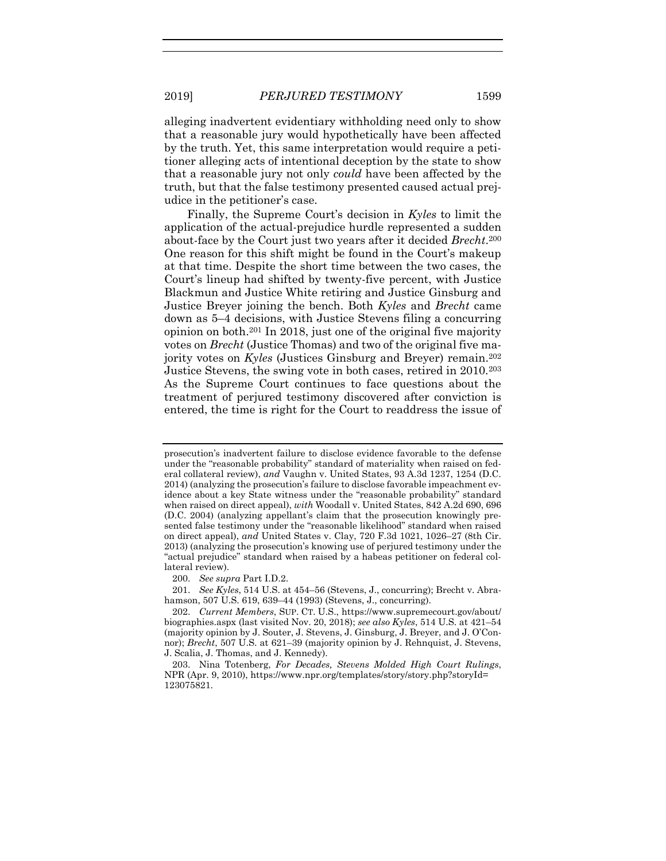alleging inadvertent evidentiary withholding need only to show that a reasonable jury would hypothetically have been affected by the truth. Yet, this same interpretation would require a petitioner alleging acts of intentional deception by the state to show that a reasonable jury not only *could* have been affected by the truth, but that the false testimony presented caused actual prejudice in the petitioner's case.

Finally, the Supreme Court's decision in *Kyles* to limit the application of the actual-prejudice hurdle represented a sudden about-face by the Court just two years after it decided *Brecht*. 200 One reason for this shift might be found in the Court's makeup at that time. Despite the short time between the two cases, the Court's lineup had shifted by twenty-five percent, with Justice Blackmun and Justice White retiring and Justice Ginsburg and Justice Breyer joining the bench. Both *Kyles* and *Brecht* came down as 5–4 decisions, with Justice Stevens filing a concurring opinion on both.<sup>201</sup> In 2018, just one of the original five majority votes on *Brecht* (Justice Thomas) and two of the original five majority votes on *Kyles* (Justices Ginsburg and Breyer) remain.<sup>202</sup> Justice Stevens, the swing vote in both cases, retired in 2010.<sup>203</sup> As the Supreme Court continues to face questions about the treatment of perjured testimony discovered after conviction is entered, the time is right for the Court to readdress the issue of

prosecution's inadvertent failure to disclose evidence favorable to the defense under the "reasonable probability" standard of materiality when raised on federal collateral review), *and* Vaughn v. United States, 93 A.3d 1237, 1254 (D.C. 2014) (analyzing the prosecution's failure to disclose favorable impeachment evidence about a key State witness under the "reasonable probability" standard when raised on direct appeal), *with* Woodall v. United States, 842 A.2d 690, 696 (D.C. 2004) (analyzing appellant's claim that the prosecution knowingly presented false testimony under the "reasonable likelihood" standard when raised on direct appeal), *and* United States v. Clay, 720 F.3d 1021, 1026–27 (8th Cir. 2013) (analyzing the prosecution's knowing use of perjured testimony under the "actual prejudice" standard when raised by a habeas petitioner on federal collateral review).

<sup>200.</sup> *See supra* Part I.D.2.

<sup>201.</sup> *See Kyles*, 514 U.S. at 454–56 (Stevens, J., concurring); Brecht v. Abrahamson, 507 U.S. 619, 639–44 (1993) (Stevens, J., concurring).

<sup>202.</sup> *Current Members*, SUP. CT. U.S., https://www.supremecourt.gov/about/ biographies.aspx (last visited Nov. 20, 2018); *see also Kyles*, 514 U.S. at 421–54 (majority opinion by J. Souter, J. Stevens, J. Ginsburg, J. Breyer, and J. O'Connor); *Brecht*, 507 U.S. at 621–39 (majority opinion by J. Rehnquist, J. Stevens, J. Scalia, J. Thomas, and J. Kennedy).

<sup>203.</sup> Nina Totenberg, *For Decades, Stevens Molded High Court Rulings*, NPR (Apr. 9, 2010), https://www.npr.org/templates/story/story.php?storyId= 123075821.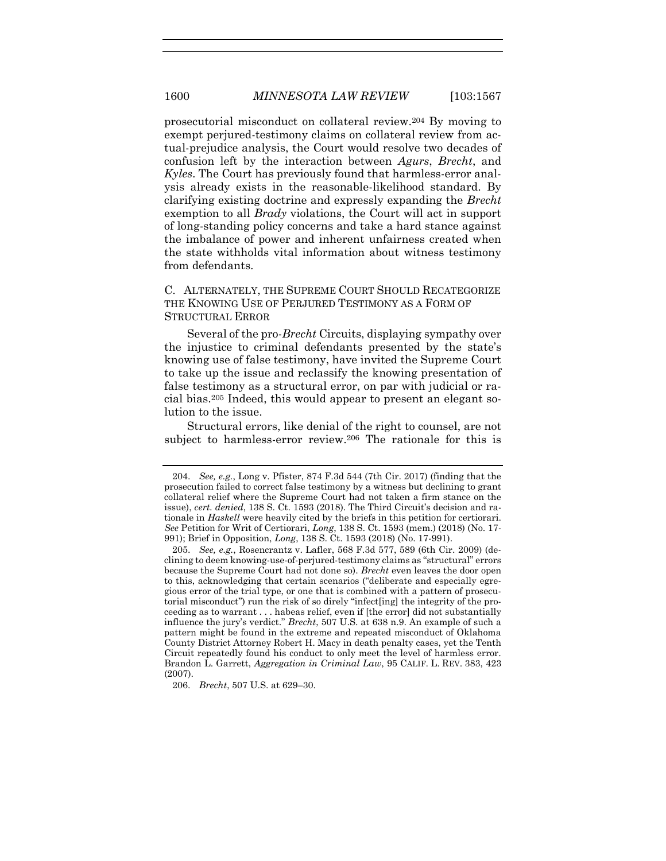prosecutorial misconduct on collateral review.<sup>204</sup> By moving to exempt perjured-testimony claims on collateral review from actual-prejudice analysis, the Court would resolve two decades of confusion left by the interaction between *Agurs*, *Brecht*, and *Kyles*. The Court has previously found that harmless-error analysis already exists in the reasonable-likelihood standard. By clarifying existing doctrine and expressly expanding the *Brecht* exemption to all *Brady* violations, the Court will act in support of long-standing policy concerns and take a hard stance against the imbalance of power and inherent unfairness created when the state withholds vital information about witness testimony from defendants.

# C. ALTERNATELY, THE SUPREME COURT SHOULD RECATEGORIZE THE KNOWING USE OF PERJURED TESTIMONY AS A FORM OF STRUCTURAL ERROR

Several of the pro-*Brecht* Circuits, displaying sympathy over the injustice to criminal defendants presented by the state's knowing use of false testimony, have invited the Supreme Court to take up the issue and reclassify the knowing presentation of false testimony as a structural error, on par with judicial or racial bias.<sup>205</sup> Indeed, this would appear to present an elegant solution to the issue.

Structural errors, like denial of the right to counsel, are not subject to harmless-error review.<sup>206</sup> The rationale for this is

<sup>204.</sup> *See, e.g.*, Long v. Pfister, 874 F.3d 544 (7th Cir. 2017) (finding that the prosecution failed to correct false testimony by a witness but declining to grant collateral relief where the Supreme Court had not taken a firm stance on the issue), *cert. denied*, 138 S. Ct. 1593 (2018). The Third Circuit's decision and rationale in *Haskell* were heavily cited by the briefs in this petition for certiorari. *See* Petition for Writ of Certiorari, *Long*, 138 S. Ct. 1593 (mem.) (2018) (No. 17- 991); Brief in Opposition, *Long*, 138 S. Ct. 1593 (2018) (No. 17-991).

<sup>205.</sup> *See, e.g.*, Rosencrantz v. Lafler, 568 F.3d 577, 589 (6th Cir. 2009) (declining to deem knowing-use-of-perjured-testimony claims as "structural" errors because the Supreme Court had not done so). *Brecht* even leaves the door open to this, acknowledging that certain scenarios ("deliberate and especially egregious error of the trial type, or one that is combined with a pattern of prosecutorial misconduct") run the risk of so direly "infect[ing] the integrity of the proceeding as to warrant . . . habeas relief, even if [the error] did not substantially influence the jury's verdict." *Brecht*, 507 U.S. at 638 n.9. An example of such a pattern might be found in the extreme and repeated misconduct of Oklahoma County District Attorney Robert H. Macy in death penalty cases, yet the Tenth Circuit repeatedly found his conduct to only meet the level of harmless error. Brandon L. Garrett, *Aggregation in Criminal Law*, 95 CALIF. L. REV. 383, 423 (2007).

<sup>206.</sup> *Brecht*, 507 U.S. at 629–30.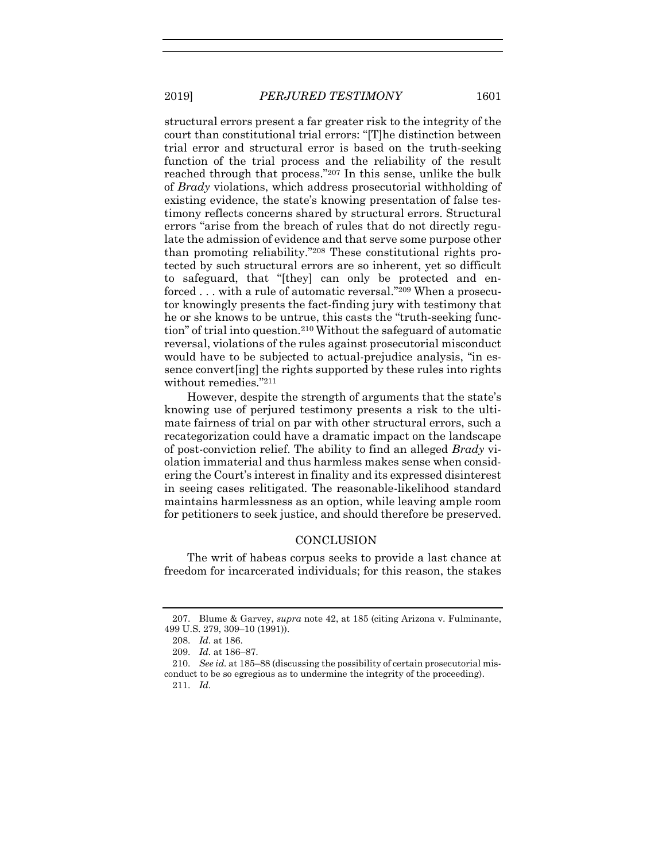structural errors present a far greater risk to the integrity of the court than constitutional trial errors: "[T]he distinction between trial error and structural error is based on the truth-seeking function of the trial process and the reliability of the result reached through that process."<sup>207</sup> In this sense, unlike the bulk of *Brady* violations, which address prosecutorial withholding of existing evidence, the state's knowing presentation of false testimony reflects concerns shared by structural errors. Structural errors "arise from the breach of rules that do not directly regulate the admission of evidence and that serve some purpose other than promoting reliability."<sup>208</sup> These constitutional rights protected by such structural errors are so inherent, yet so difficult to safeguard, that "[they] can only be protected and enforced . . . with a rule of automatic reversal."<sup>209</sup> When a prosecutor knowingly presents the fact-finding jury with testimony that he or she knows to be untrue, this casts the "truth-seeking function" of trial into question.<sup>210</sup> Without the safeguard of automatic reversal, violations of the rules against prosecutorial misconduct would have to be subjected to actual-prejudice analysis, "in essence convert[ing] the rights supported by these rules into rights without remedies."<sup>211</sup>

However, despite the strength of arguments that the state's knowing use of perjured testimony presents a risk to the ultimate fairness of trial on par with other structural errors, such a recategorization could have a dramatic impact on the landscape of post-conviction relief. The ability to find an alleged *Brady* violation immaterial and thus harmless makes sense when considering the Court's interest in finality and its expressed disinterest in seeing cases relitigated. The reasonable-likelihood standard maintains harmlessness as an option, while leaving ample room for petitioners to seek justice, and should therefore be preserved.

#### **CONCLUSION**

The writ of habeas corpus seeks to provide a last chance at freedom for incarcerated individuals; for this reason, the stakes

<sup>207.</sup> Blume & Garvey, *supra* note [42,](#page-8-0) at 185 (citing Arizona v. Fulminante, 499 U.S. 279, 309–10 (1991)).

<sup>208.</sup> *Id.* at 186.

<sup>209.</sup> *Id.* at 186–87.

<sup>210.</sup> *See id.* at 185–88 (discussing the possibility of certain prosecutorial misconduct to be so egregious as to undermine the integrity of the proceeding). 211. *Id.*